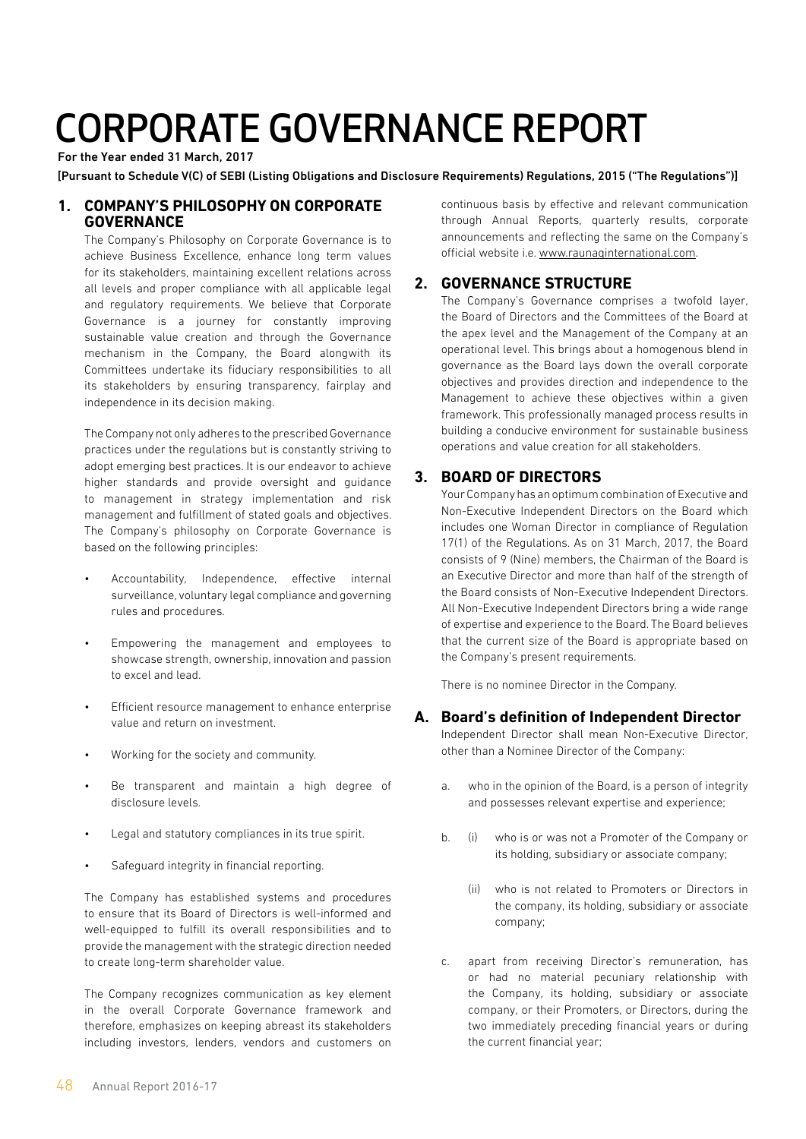# CORPORATE GOVERNANCE REPORT

For the Year ended 31 March, 2017

[Pursuant to Schedule V(C) of SEBI (Listing Obligations and Disclosure Requirements) Regulations, 2015 ("The Regulations")]

# **1. COMPANY'S PHILOSOPHY ON CORPORATE GOVERNANCE**

The Company's Philosophy on Corporate Governance is to achieve Business Excellence, enhance long term values for its stakeholders, maintaining excellent relations across all levels and proper compliance with all applicable legal and regulatory requirements. We believe that Corporate Governance is a journey for constantly improving sustainable value creation and through the Governance mechanism in the Company, the Board alongwith its Committees undertake its fiduciary responsibilities to all its stakeholders by ensuring transparency, fairplay and independence in its decision making.

The Company not only adheres to the prescribed Governance practices under the regulations but is constantly striving to adopt emerging best practices. It is our endeavor to achieve higher standards and provide oversight and guidance to management in strategy implementation and risk management and fulfillment of stated goals and objectives. The Company's philosophy on Corporate Governance is based on the following principles:

- Accountability, Independence, effective internal surveillance, voluntary legal compliance and governing rules and procedures.
- Empowering the management and employees to showcase strength, ownership, innovation and passion to excel and lead.
- Efficient resource management to enhance enterprise value and return on investment.
- Working for the society and community.
- Be transparent and maintain a high degree of disclosure levels.
- Legal and statutory compliances in its true spirit.
- Safeguard integrity in financial reporting.

The Company has established systems and procedures to ensure that its Board of Directors is well-informed and well-equipped to fulfill its overall responsibilities and to provide the management with the strategic direction needed to create long-term shareholder value.

The Company recognizes communication as key element in the overall Corporate Governance framework and therefore, emphasizes on keeping abreast its stakeholders including investors, lenders, vendors and customers on continuous basis by effective and relevant communication through Annual Reports, quarterly results, corporate announcements and reflecting the same on the Company's official website i.e. www.raunaqinternational.com.

# **2. GOVERNANCE STRUCTURE**

The Company's Governance comprises a twofold layer, the Board of Directors and the Committees of the Board at the apex level and the Management of the Company at an operational level. This brings about a homogenous blend in governance as the Board lays down the overall corporate objectives and provides direction and independence to the Management to achieve these objectives within a given framework. This professionally managed process results in building a conducive environment for sustainable business operations and value creation for all stakeholders.

# **3. BOARD OF DIRECTORS**

Your Company has an optimum combination of Executive and Non-Executive Independent Directors on the Board which includes one Woman Director in compliance of Regulation 17(1) of the Regulations. As on 31 March, 2017, the Board consists of 9 (Nine) members, the Chairman of the Board is an Executive Director and more than half of the strength of the Board consists of Non-Executive Independent Directors. All Non-Executive Independent Directors bring a wide range of expertise and experience to the Board. The Board believes that the current size of the Board is appropriate based on the Company's present requirements.

There is no nominee Director in the Company.

# **A. Board's definition of Independent Director**

Independent Director shall mean Non-Executive Director, other than a Nominee Director of the Company:

- a. who in the opinion of the Board, is a person of integrity and possesses relevant expertise and experience;
- b. (i) who is or was not a Promoter of the Company or its holding, subsidiary or associate company;
	- (ii) who is not related to Promoters or Directors in the company, its holding, subsidiary or associate company;
- c. apart from receiving Director's remuneration, has or had no material pecuniary relationship with the Company, its holding, subsidiary or associate company, or their Promoters, or Directors, during the two immediately preceding financial years or during the current financial year;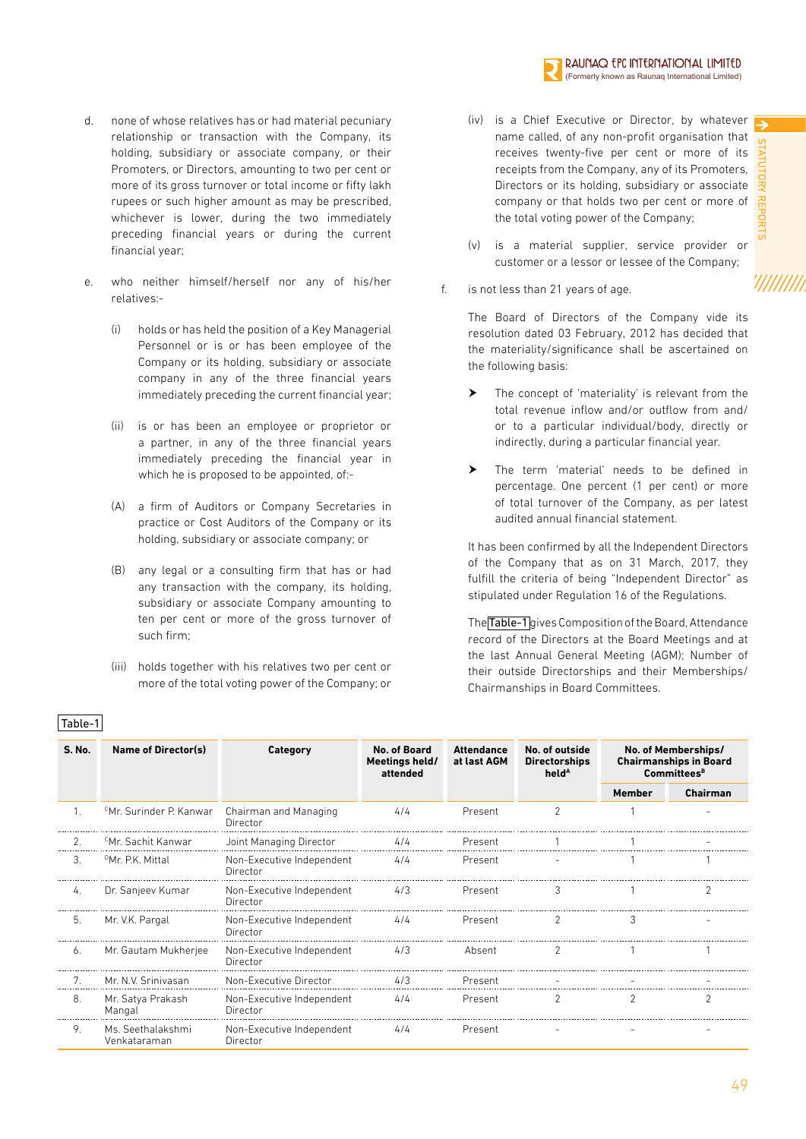(Formerly known as Raunaq International Limited)

statutory reports

- d. none of whose relatives has or had material pecuniary relationship or transaction with the Company, its holding, subsidiary or associate company, or their Promoters, or Directors, amounting to two per cent or more of its gross turnover or total income or fifty lakh rupees or such higher amount as may be prescribed, whichever is lower, during the two immediately preceding financial years or during the current financial year;
- e. who neither himself/herself nor any of his/her relatives:-
	- (i) holds or has held the position of a Key Managerial Personnel or is or has been employee of the Company or its holding, subsidiary or associate company in any of the three financial years immediately preceding the current financial year;
	- (ii) is or has been an employee or proprietor or a partner, in any of the three financial years immediately preceding the financial year in which he is proposed to be appointed, of:-
	- (A) a firm of Auditors or Company Secretaries in practice or Cost Auditors of the Company or its holding, subsidiary or associate company; or
	- (B) any legal or a consulting firm that has or had any transaction with the company, its holding, subsidiary or associate Company amounting to ten per cent or more of the gross turnover of such firm;
	- (iii) holds together with his relatives two per cent or more of the total voting power of the Company; or

 (iv) is a Chief Executive or Director, by whatever name called, of any non-profit organisation that receives twenty-five per cent or more of its receipts from the Company, any of its Promoters, Directors or its holding, subsidiary or associate company or that holds two per cent or more of the total voting power of the Company;

RAUNAQ EPC INTERNATIONAL LIMITED

- (v) is a material supplier, service provider or customer or a lessor or lessee of the Company;
- f. is not less than 21 years of age.

 The Board of Directors of the Company vide its resolution dated 03 February, 2012 has decided that the materiality/significance shall be ascertained on the following basis:

- The concept of 'materiality' is relevant from the total revenue inflow and/or outflow from and/ or to a particular individual/body, directly or indirectly, during a particular financial year.
- The term 'material' needs to be defined in percentage. One percent (1 per cent) or more of total turnover of the Company, as per latest audited annual financial statement.

 It has been confirmed by all the Independent Directors of the Company that as on 31 March, 2017, they fulfill the criteria of being "Independent Director" as stipulated under Regulation 16 of the Regulations.

The Table-1 gives Composition of the Board, Attendance record of the Directors at the Board Meetings and at the last Annual General Meeting (AGM); Number of their outside Directorships and their Memberships/ Chairmanships in Board Committees.

| <b>S. No.</b>  | Name of Director(s)                 | Category                              | <b>No. of Board</b><br>Meetings held/<br>attended | <b>Attendance</b><br>at last AGM | No. of outside<br><b>Directorships</b><br>held <sup>A</sup> |               | No. of Memberships/<br><b>Chairmanships in Board</b><br><b>Committees</b> <sup>B</sup> |
|----------------|-------------------------------------|---------------------------------------|---------------------------------------------------|----------------------------------|-------------------------------------------------------------|---------------|----------------------------------------------------------------------------------------|
|                |                                     |                                       |                                                   |                                  |                                                             | <b>Member</b> | Chairman                                                                               |
| $\mathbf{1}$ . | <sup>C</sup> Mr. Surinder P. Kanwar | Chairman and Managing<br>Director     | 4/4                                               | Present                          | $\overline{2}$                                              |               |                                                                                        |
| 2.             | <sup>c</sup> Mr. Sachit Kanwar      | Joint Managing Director               | 4/4                                               | Present                          |                                                             |               |                                                                                        |
| 3.             | <sup>D</sup> Mr. P.K. Mittal        | Non-Executive Independent<br>Director | 4/4                                               | Present                          |                                                             |               |                                                                                        |
| 4.             | Dr. Sanjeev Kumar                   | Non-Executive Independent<br>Director | 4/3                                               | Present                          | 3                                                           |               |                                                                                        |
| 5.             | Mr. V.K. Pargal                     | Non-Executive Independent<br>Director | 4/4                                               | Present                          | 2                                                           | 3             |                                                                                        |
| 6.             | Mr. Gautam Mukherjee                | Non-Executive Independent<br>Director | 4/3                                               | Absent                           |                                                             |               |                                                                                        |
| $7^{\circ}$    | Mr. N.V. Sriniyasan                 | Non-Executive Director                | 4/3                                               | Present                          |                                                             |               |                                                                                        |
| 8.             | Mr. Satya Prakash<br>Mangal         | Non-Executive Independent<br>Director | 4/4                                               | Present                          | $\mathfrak{D}$                                              | $\mathcal{P}$ | $\mathcal{P}$                                                                          |
| 9.             | Ms. Seethalakshmi<br>Venkataraman   | Non-Executive Independent<br>Director | 4/4                                               | Present                          |                                                             |               |                                                                                        |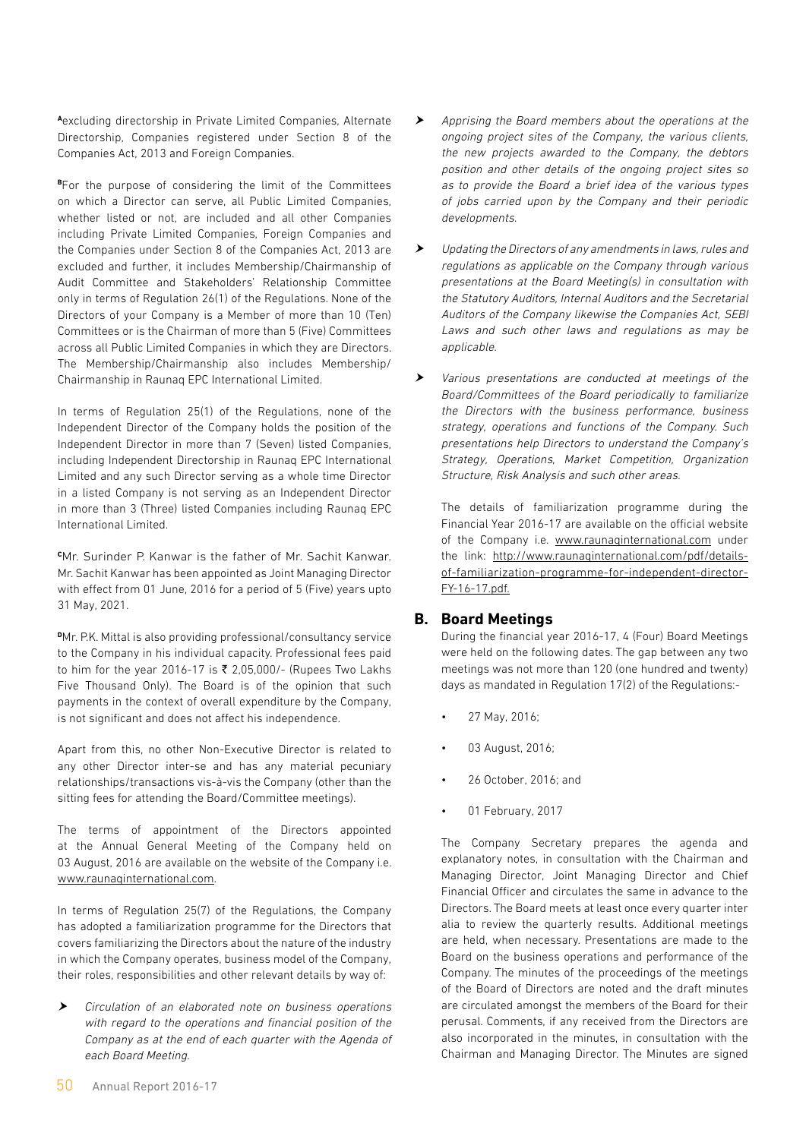**<sup>A</sup>**excluding directorship in Private Limited Companies, Alternate Directorship, Companies registered under Section 8 of the Companies Act, 2013 and Foreign Companies.

**B**For the purpose of considering the limit of the Committees on which a Director can serve, all Public Limited Companies, whether listed or not, are included and all other Companies including Private Limited Companies, Foreign Companies and the Companies under Section 8 of the Companies Act, 2013 are excluded and further, it includes Membership/Chairmanship of Audit Committee and Stakeholders' Relationship Committee only in terms of Regulation 26(1) of the Regulations. None of the Directors of your Company is a Member of more than 10 (Ten) Committees or is the Chairman of more than 5 (Five) Committees across all Public Limited Companies in which they are Directors. The Membership/Chairmanship also includes Membership/ Chairmanship in Raunaq EPC International Limited.

In terms of Regulation 25(1) of the Regulations, none of the Independent Director of the Company holds the position of the Independent Director in more than 7 (Seven) listed Companies, including Independent Directorship in Raunaq EPC International Limited and any such Director serving as a whole time Director in a listed Company is not serving as an Independent Director in more than 3 (Three) listed Companies including Raunaq EPC International Limited.

**<sup>C</sup>**Mr. Surinder P. Kanwar is the father of Mr. Sachit Kanwar. Mr. Sachit Kanwar has been appointed as Joint Managing Director with effect from 01 June, 2016 for a period of 5 (Five) years upto 31 May, 2021.

**PMr. P.K. Mittal is also providing professional/consultancy service** to the Company in his individual capacity. Professional fees paid to him for the year 2016-17 is ₹ 2,05,000/- (Rupees Two Lakhs Five Thousand Only). The Board is of the opinion that such payments in the context of overall expenditure by the Company, is not significant and does not affect his independence.

Apart from this, no other Non-Executive Director is related to any other Director inter-se and has any material pecuniary relationships/transactions vis-à-vis the Company (other than the sitting fees for attending the Board/Committee meetings).

The terms of appointment of the Directors appointed at the Annual General Meeting of the Company held on 03 August, 2016 are available on the website of the Company i.e. www.raunaqinternational.com.

In terms of Regulation 25(7) of the Regulations, the Company has adopted a familiarization programme for the Directors that covers familiarizing the Directors about the nature of the industry in which the Company operates, business model of the Company, their roles, responsibilities and other relevant details by way of:

 Circulation of an elaborated note on business operations with regard to the operations and financial position of the Company as at the end of each quarter with the Agenda of each Board Meeting.

- Apprising the Board members about the operations at the ongoing project sites of the Company, the various clients, the new projects awarded to the Company, the debtors position and other details of the ongoing project sites so as to provide the Board a brief idea of the various types of jobs carried upon by the Company and their periodic developments.
- Updating the Directors of any amendments in laws, rules and regulations as applicable on the Company through various presentations at the Board Meeting(s) in consultation with the Statutory Auditors, Internal Auditors and the Secretarial Auditors of the Company likewise the Companies Act, SEBI Laws and such other laws and regulations as may be applicable.
- Various presentations are conducted at meetings of the Board/Committees of the Board periodically to familiarize the Directors with the business performance, business strategy, operations and functions of the Company. Such presentations help Directors to understand the Company's Strategy, Operations, Market Competition, Organization Structure, Risk Analysis and such other areas.

The details of familiarization programme during the Financial Year 2016-17 are available on the official website of the Company i.e. www.raunaqinternational.com under the link: http://www.raunaqinternational.com/pdf/detailsof-familiarization-programme-for-independent-director-FY-16-17.pdf.

# **B. Board Meetings**

During the financial year 2016-17, 4 (Four) Board Meetings were held on the following dates. The gap between any two meetings was not more than 120 (one hundred and twenty) days as mandated in Regulation 17(2) of the Regulations:-

- 27 May, 2016;
- 03 August, 2016;
- 26 October, 2016; and
- 01 February, 2017

The Company Secretary prepares the agenda and explanatory notes, in consultation with the Chairman and Managing Director, Joint Managing Director and Chief Financial Officer and circulates the same in advance to the Directors. The Board meets at least once every quarter inter alia to review the quarterly results. Additional meetings are held, when necessary. Presentations are made to the Board on the business operations and performance of the Company. The minutes of the proceedings of the meetings of the Board of Directors are noted and the draft minutes are circulated amongst the members of the Board for their perusal. Comments, if any received from the Directors are also incorporated in the minutes, in consultation with the Chairman and Managing Director. The Minutes are signed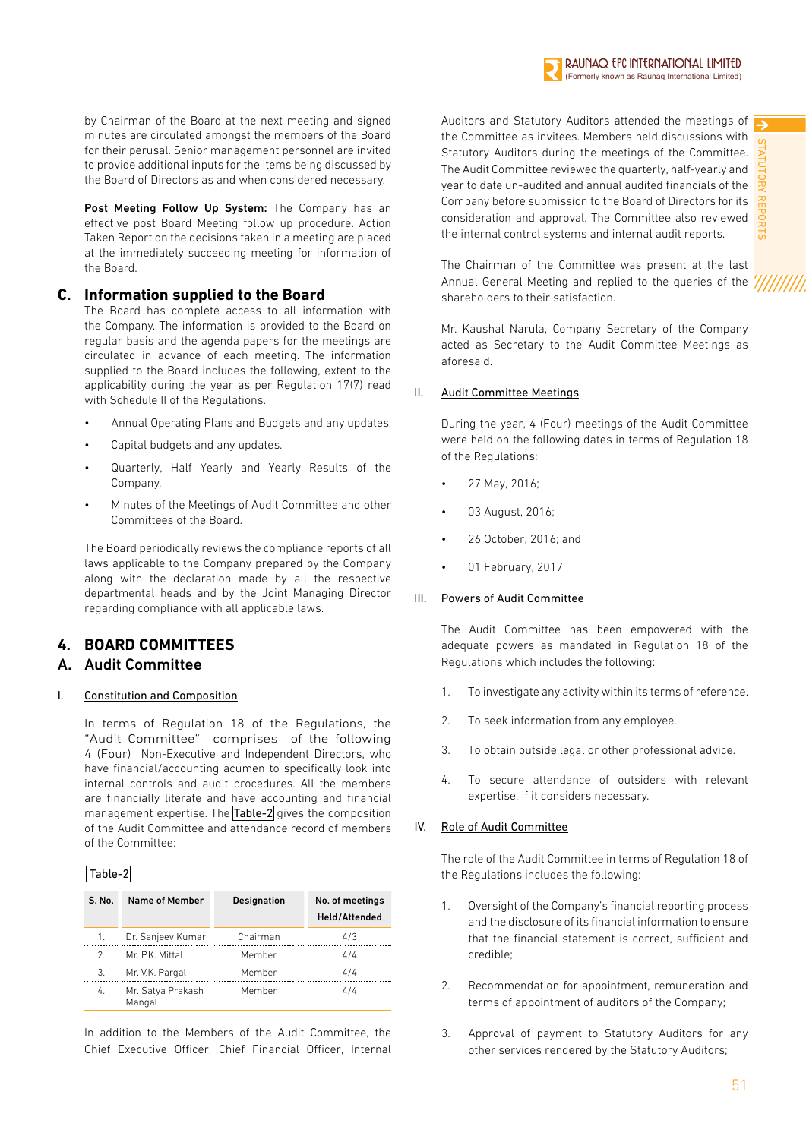by Chairman of the Board at the next meeting and signed minutes are circulated amongst the members of the Board for their perusal. Senior management personnel are invited to provide additional inputs for the items being discussed by the Board of Directors as and when considered necessary.

Post Meeting Follow Up System: The Company has an effective post Board Meeting follow up procedure. Action Taken Report on the decisions taken in a meeting are placed at the immediately succeeding meeting for information of the Board.

# **C. Information supplied to the Board**

The Board has complete access to all information with the Company. The information is provided to the Board on regular basis and the agenda papers for the meetings are circulated in advance of each meeting. The information supplied to the Board includes the following, extent to the applicability during the year as per Regulation 17(7) read with Schedule II of the Regulations.

- Annual Operating Plans and Budgets and any updates.
- Capital budgets and any updates.
- Quarterly, Half Yearly and Yearly Results of the Company.
- Minutes of the Meetings of Audit Committee and other Committees of the Board.

The Board periodically reviews the compliance reports of all laws applicable to the Company prepared by the Company along with the declaration made by all the respective departmental heads and by the Joint Managing Director regarding compliance with all applicable laws.

# **4. BOARD COMMITTEES**

# A. Audit Committee

## I. Constitution and Composition

In terms of Regulation 18 of the Regulations, the "Audit Committee" comprises of the following 4 (Four) Non-Executive and Independent Directors, who have financial/accounting acumen to specifically look into internal controls and audit procedures. All the members are financially literate and have accounting and financial management expertise. The Table-2 gives the composition of the Audit Committee and attendance record of members of the Committee:

# Table-2

| S. No.        | Name of Member              | <b>Designation</b> | No. of meetings<br>Held/Attended |
|---------------|-----------------------------|--------------------|----------------------------------|
|               | Dr. Sanjeev Kumar           | Chairman           | 4/3                              |
| $\mathcal{P}$ | Mr. P.K. Mittal             | Member             | 4/4                              |
| 3.            | Mr. V.K. Pargal             | Member             | 4/4                              |
| 4.            | Mr. Satya Prakash<br>Mangal | Member             | 4/4                              |

In addition to the Members of the Audit Committee, the Chief Executive Officer, Chief Financial Officer, Internal Auditors and Statutory Auditors attended the meetings of the Committee as invitees. Members held discussions with Statutory Auditors during the meetings of the Committee. The Audit Committee reviewed the quarterly, half-yearly and year to date un-audited and annual audited financials of the Company before submission to the Board of Directors for its consideration and approval. The Committee also reviewed the internal control systems and internal audit reports.

(Formerly known as Raunaq International Limited)

RAUNAQ EPC INTERNATIONAL LIMITED

The Chairman of the Committee was present at the last Annual General Meeting and replied to the queries of the shareholders to their satisfaction.

 Mr. Kaushal Narula, Company Secretary of the Company acted as Secretary to the Audit Committee Meetings as aforesaid.

#### II. Audit Committee Meetings

During the year, 4 (Four) meetings of the Audit Committee were held on the following dates in terms of Regulation 18 of the Regulations:

- 27 May, 2016;
- 03 August, 2016;
- 26 October, 2016; and
- 01 February, 2017

#### III. Powers of Audit Committee

The Audit Committee has been empowered with the adequate powers as mandated in Regulation 18 of the Regulations which includes the following:

- 1. To investigate any activity within its terms of reference.
- 2. To seek information from any employee.
- 3. To obtain outside legal or other professional advice.
- 4. To secure attendance of outsiders with relevant expertise, if it considers necessary.

# IV. Role of Audit Committee

The role of the Audit Committee in terms of Regulation 18 of the Regulations includes the following:

- 1. Oversight of the Company's financial reporting process and the disclosure of its financial information to ensure that the financial statement is correct, sufficient and credible;
- 2. Recommendation for appointment, remuneration and terms of appointment of auditors of the Company;
- 3. Approval of payment to Statutory Auditors for any other services rendered by the Statutory Auditors;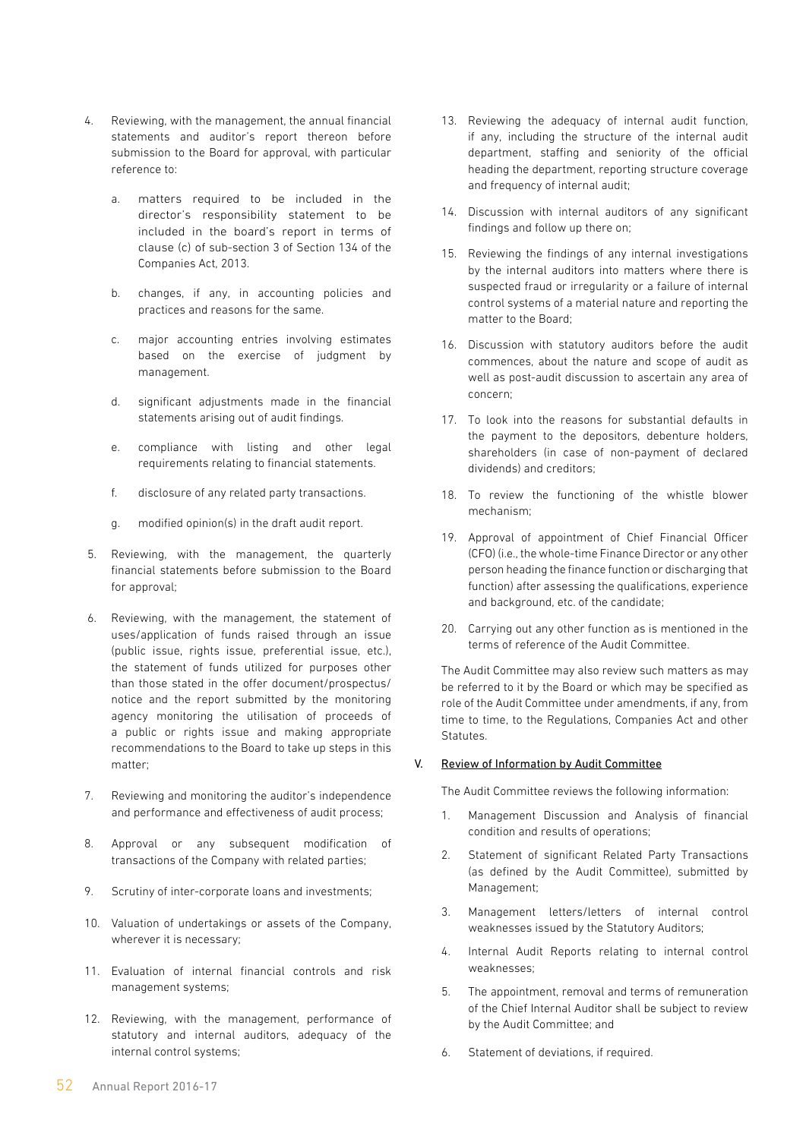- 4. Reviewing, with the management, the annual financial statements and auditor's report thereon before submission to the Board for approval, with particular reference to:
	- a. matters required to be included in the director's responsibility statement to be included in the board's report in terms of clause (c) of sub-section 3 of Section 134 of the Companies Act, 2013.
	- b. changes, if any, in accounting policies and practices and reasons for the same.
	- c. major accounting entries involving estimates based on the exercise of judgment by management.
	- d. significant adjustments made in the financial statements arising out of audit findings.
	- e. compliance with listing and other legal requirements relating to financial statements.
	- f. disclosure of any related party transactions.
	- g. modified opinion(s) in the draft audit report.
- 5. Reviewing, with the management, the quarterly financial statements before submission to the Board for approval;
- 6. Reviewing, with the management, the statement of uses/application of funds raised through an issue (public issue, rights issue, preferential issue, etc.), the statement of funds utilized for purposes other than those stated in the offer document/prospectus/ notice and the report submitted by the monitoring agency monitoring the utilisation of proceeds of a public or rights issue and making appropriate recommendations to the Board to take up steps in this matter;
- 7. Reviewing and monitoring the auditor's independence and performance and effectiveness of audit process;
- 8. Approval or any subsequent modification of transactions of the Company with related parties;
- 9. Scrutiny of inter-corporate loans and investments;
- 10. Valuation of undertakings or assets of the Company, wherever it is necessary;
- 11. Evaluation of internal financial controls and risk management systems;
- 12. Reviewing, with the management, performance of statutory and internal auditors, adequacy of the internal control systems;
- 13. Reviewing the adequacy of internal audit function, if any, including the structure of the internal audit department, staffing and seniority of the official heading the department, reporting structure coverage and frequency of internal audit;
- 14. Discussion with internal auditors of any significant findings and follow up there on;
- 15. Reviewing the findings of any internal investigations by the internal auditors into matters where there is suspected fraud or irregularity or a failure of internal control systems of a material nature and reporting the matter to the Board;
- 16. Discussion with statutory auditors before the audit commences, about the nature and scope of audit as well as post-audit discussion to ascertain any area of concern;
- 17. To look into the reasons for substantial defaults in the payment to the depositors, debenture holders, shareholders (in case of non-payment of declared dividends) and creditors;
- 18. To review the functioning of the whistle blower mechanism;
- 19. Approval of appointment of Chief Financial Officer (CFO) (i.e., the whole-time Finance Director or any other person heading the finance function or discharging that function) after assessing the qualifications, experience and background, etc. of the candidate;
- 20. Carrying out any other function as is mentioned in the terms of reference of the Audit Committee.

The Audit Committee may also review such matters as may be referred to it by the Board or which may be specified as role of the Audit Committee under amendments, if any, from time to time, to the Regulations, Companies Act and other Statutes.

# V. Review of Information by Audit Committee

The Audit Committee reviews the following information:

- 1. Management Discussion and Analysis of financial condition and results of operations;
- 2. Statement of significant Related Party Transactions (as defined by the Audit Committee), submitted by Management;
- 3. Management letters/letters of internal control weaknesses issued by the Statutory Auditors;
- 4. Internal Audit Reports relating to internal control weaknesses;
- 5. The appointment, removal and terms of remuneration of the Chief Internal Auditor shall be subject to review by the Audit Committee; and
- 6. Statement of deviations, if required.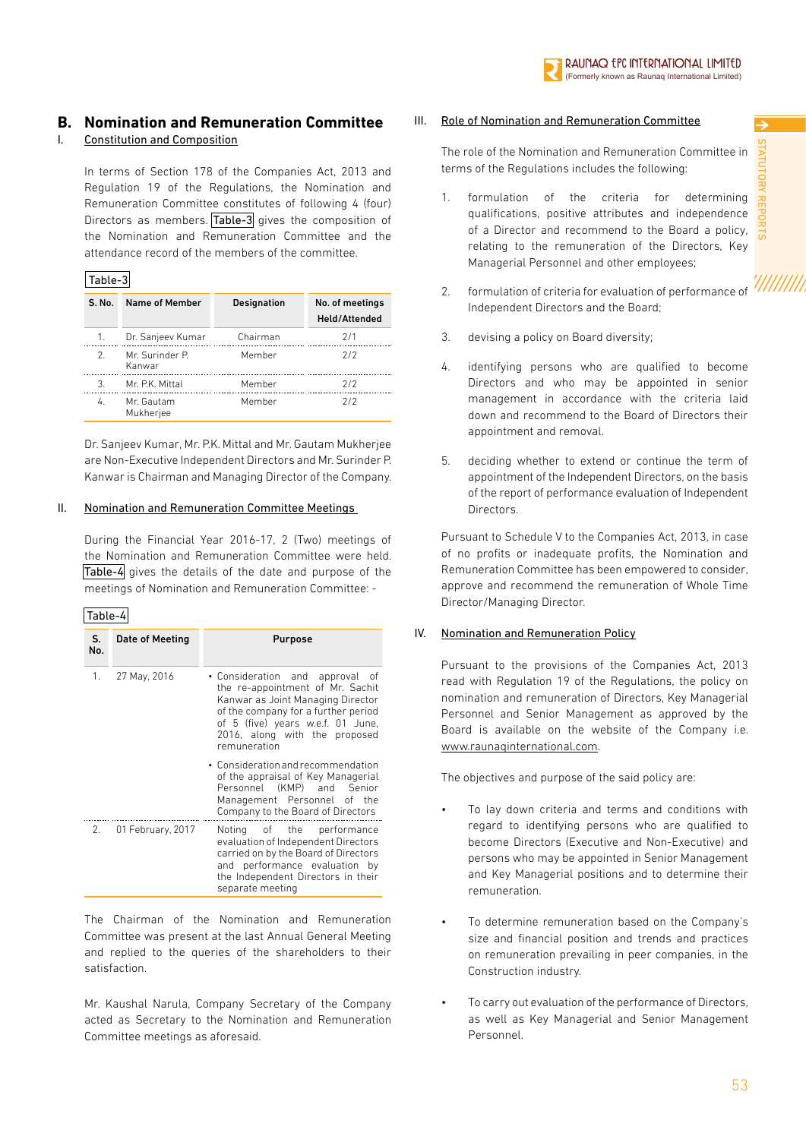statutory reports

# **B. Nomination and Remuneration Committee**

# I. Constitution and Composition

In terms of Section 178 of the Companies Act, 2013 and Regulation 19 of the Regulations, the Nomination and Remuneration Committee constitutes of following 4 (four) Directors as members. Table-3 gives the composition of the Nomination and Remuneration Committee and the attendance record of the members of the committee.

## $|$  Table-3 $|$

| S. No.        | <b>Name of Member</b>     | <b>Designation</b> | No. of meetings<br>Held/Attended |
|---------------|---------------------------|--------------------|----------------------------------|
| 1.            | Dr. Sanjeev Kumar         | Chairman           | 2/1                              |
| $\mathcal{P}$ | Mr. Surinder P.<br>Kanwar | Member             | 212                              |
| 3.            | Mr. P.K. Mittal           | Member             | 212                              |
| 4.            | Mr. Gautam<br>Mukherjee   | Member             | 212                              |

 Dr. Sanjeev Kumar, Mr. P.K. Mittal and Mr. Gautam Mukherjee are Non-Executive Independent Directors and Mr. Surinder P. Kanwar is Chairman and Managing Director of the Company.

## II. Nomination and Remuneration Committee Meetings

During the Financial Year 2016-17, 2 (Two) meetings of the Nomination and Remuneration Committee were held. Table-4 gives the details of the date and purpose of the meetings of Nomination and Remuneration Committee: -



| S.<br>No. | Date of Meeting      | <b>Purpose</b>                                                                                                                                                                                                                        |
|-----------|----------------------|---------------------------------------------------------------------------------------------------------------------------------------------------------------------------------------------------------------------------------------|
| 1.        | 27 May, 2016         | • Consideration and approval of<br>the re-appointment of Mr. Sachit<br>Kanwar as Joint Managing Director<br>of the company for a further period<br>of 5 (five) years w.e.f. 01 June,<br>2016, along with the proposed<br>remuneration |
|           |                      | • Consideration and recommendation<br>of the appraisal of Key Managerial<br>Personnel (KMP) and Senior<br>Management Personnel of the<br>Company to the Board of Directors                                                            |
|           | 2. 01 February, 2017 | Noting of the performance<br>evaluation of Independent Directors<br>carried on by the Board of Directors<br>and performance evaluation by<br>the Independent Directors in their<br>separate meeting                                   |

The Chairman of the Nomination and Remuneration Committee was present at the last Annual General Meeting and replied to the queries of the shareholders to their satisfaction.

 Mr. Kaushal Narula, Company Secretary of the Company acted as Secretary to the Nomination and Remuneration Committee meetings as aforesaid.

# III. Role of Nomination and Remuneration Committee

The role of the Nomination and Remuneration Committee in terms of the Regulations includes the following:

- 1. formulation of the criteria for determining qualifications, positive attributes and independence of a Director and recommend to the Board a policy, relating to the remuneration of the Directors, Key Managerial Personnel and other employees;
- 2. formulation of criteria for evaluation of performance of ///////////////////// Independent Directors and the Board;
- 3. devising a policy on Board diversity;
- 4. identifying persons who are qualified to become Directors and who may be appointed in senior management in accordance with the criteria laid down and recommend to the Board of Directors their appointment and removal.
- 5. deciding whether to extend or continue the term of appointment of the Independent Directors, on the basis of the report of performance evaluation of Independent Directors.

 Pursuant to Schedule V to the Companies Act, 2013, in case of no profits or inadequate profits, the Nomination and Remuneration Committee has been empowered to consider, approve and recommend the remuneration of Whole Time Director/Managing Director.

# IV. Nomination and Remuneration Policy

Pursuant to the provisions of the Companies Act, 2013 read with Regulation 19 of the Regulations, the policy on nomination and remuneration of Directors, Key Managerial Personnel and Senior Management as approved by the Board is available on the website of the Company i.e. www.raunaqinternational.com.

The objectives and purpose of the said policy are:

- To lay down criteria and terms and conditions with regard to identifying persons who are qualified to become Directors (Executive and Non-Executive) and persons who may be appointed in Senior Management and Key Managerial positions and to determine their remuneration.
- To determine remuneration based on the Company's size and financial position and trends and practices on remuneration prevailing in peer companies, in the Construction industry.
- To carry out evaluation of the performance of Directors, as well as Key Managerial and Senior Management Personnel.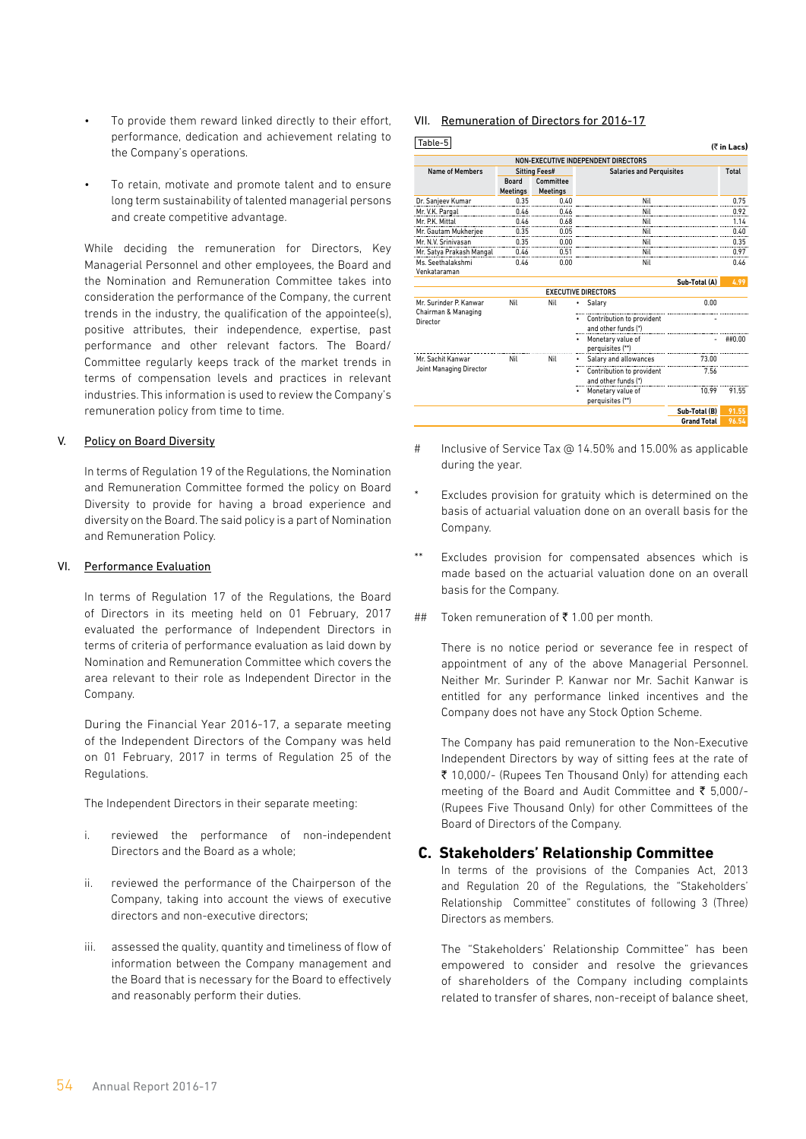- To provide them reward linked directly to their effort, performance, dedication and achievement relating to the Company's operations.
- To retain, motivate and promote talent and to ensure long term sustainability of talented managerial persons and create competitive advantage.

 While deciding the remuneration for Directors, Key Managerial Personnel and other employees, the Board and the Nomination and Remuneration Committee takes into consideration the performance of the Company, the current trends in the industry, the qualification of the appointee(s), positive attributes, their independence, expertise, past performance and other relevant factors. The Board/ Committee regularly keeps track of the market trends in terms of compensation levels and practices in relevant industries. This information is used to review the Company's remuneration policy from time to time.

## V. Policy on Board Diversity

In terms of Regulation 19 of the Regulations, the Nomination and Remuneration Committee formed the policy on Board Diversity to provide for having a broad experience and diversity on the Board. The said policy is a part of Nomination and Remuneration Policy.

#### VI. Performance Evaluation

In terms of Regulation 17 of the Regulations, the Board of Directors in its meeting held on 01 February, 2017 evaluated the performance of Independent Directors in terms of criteria of performance evaluation as laid down by Nomination and Remuneration Committee which covers the area relevant to their role as Independent Director in the Company.

During the Financial Year 2016-17, a separate meeting of the Independent Directors of the Company was held on 01 February, 2017 in terms of Regulation 25 of the Regulations.

The Independent Directors in their separate meeting:

- i. reviewed the performance of non-independent Directors and the Board as a whole;
- ii. reviewed the performance of the Chairperson of the Company, taking into account the views of executive directors and non-executive directors;
- iii. assessed the quality, quantity and timeliness of flow of information between the Company management and the Board that is necessary for the Board to effectively and reasonably perform their duties.

#### VII. Remuneration of Directors for 2016-17

| Table-5                                       |                                                             |                              |                                                                                                                                                                                                                                       | (₹ in Lacs) |
|-----------------------------------------------|-------------------------------------------------------------|------------------------------|---------------------------------------------------------------------------------------------------------------------------------------------------------------------------------------------------------------------------------------|-------------|
| <b>Name of Members</b>                        | NON-EXECUTIVE INDEPENDENT DIRECTORS<br><b>Sitting Fees#</b> |                              | <b>Salaries and Perquisites</b>                                                                                                                                                                                                       | Total       |
|                                               | Board<br>Meetings                                           | Committee<br><b>Meetings</b> |                                                                                                                                                                                                                                       |             |
| Dr. Sanjeev Kumar                             | 0.35                                                        | 0.40                         | Nil                                                                                                                                                                                                                                   | 0.75        |
|                                               |                                                             |                              |                                                                                                                                                                                                                                       |             |
| Mr. P.K. Mittal                               | 0.46                                                        | 0.68                         | Nil                                                                                                                                                                                                                                   | 1.14        |
| Mr. Gautam Mukherjee 0.35                     |                                                             | 0.05                         | Nil                                                                                                                                                                                                                                   | 0.40        |
| Mr. N.V. Srinivasan                           |                                                             |                              | $0.35$ $0.00$ $0.00$ $0.00$ $0.00$ $0.00$ $0.00$ $0.00$ $0.00$ $0.00$ $0.00$ $0.00$ $0.00$ $0.00$ $0.00$ $0.00$ $0.00$ $0.00$ $0.00$ $0.00$ $0.00$ $0.00$ $0.00$ $0.00$ $0.00$ $0.00$ $0.00$ $0.00$ $0.00$ $0.00$ $0.00$ $0.0$<br>Nil | 0.35        |
| Mr. Satya Prakash Mangal 0.46                 |                                                             | 0.51                         | Nil                                                                                                                                                                                                                                   | 0.97        |
| Ms. Seethalakshmi<br>Venkataraman             | 0.46                                                        | 0.00                         | Nil                                                                                                                                                                                                                                   | 0.46        |
|                                               |                                                             |                              | Sub-Total (A)                                                                                                                                                                                                                         | 4.99        |
|                                               |                                                             |                              | <b>EXECUTIVE DIRECTORS</b>                                                                                                                                                                                                            |             |
| Mr. Surinder P. Kanwar<br>Chairman & Managing | Nil                                                         | Nil                          | 0.00<br>Salary<br>٠                                                                                                                                                                                                                   |             |
| Director                                      |                                                             |                              | Contribution to provident<br>and other funds (*)                                                                                                                                                                                      |             |
|                                               |                                                             |                              | Monetary value of<br>٠<br>perquisites (**)                                                                                                                                                                                            | ##0.00      |
| Mr. Sachit Kanwar                             | Nil                                                         | Nil                          | Salary and allowances<br>73.00                                                                                                                                                                                                        |             |
| Joint Managing Director                       |                                                             |                              | Contribution to provident<br>7.56<br>٠<br>and other funds (*)                                                                                                                                                                         |             |
|                                               |                                                             |                              | Monetary value of<br>10.99<br>perquisites (**)                                                                                                                                                                                        | 91.55       |
|                                               |                                                             |                              | Sub-Total (B)                                                                                                                                                                                                                         | 91.55       |
|                                               |                                                             |                              | <b>Grand Total</b>                                                                                                                                                                                                                    | 96.54       |

- # Inclusive of Service Tax @ 14.50% and 15.00% as applicable during the year.
- Excludes provision for gratuity which is determined on the basis of actuarial valuation done on an overall basis for the Company.
- \*\* Excludes provision for compensated absences which is made based on the actuarial valuation done on an overall basis for the Company.
- ## Token remuneration of  $\bar{\bar{\xi}}$  1.00 per month.

There is no notice period or severance fee in respect of appointment of any of the above Managerial Personnel. Neither Mr. Surinder P. Kanwar nor Mr. Sachit Kanwar is entitled for any performance linked incentives and the Company does not have any Stock Option Scheme.

The Company has paid remuneration to the Non-Executive Independent Directors by way of sitting fees at the rate of ₹ 10,000/- (Rupees Ten Thousand Only) for attending each meeting of the Board and Audit Committee and  $\bar{\tau}$  5,000/-(Rupees Five Thousand Only) for other Committees of the Board of Directors of the Company.

# **C. Stakeholders' Relationship Committee**

In terms of the provisions of the Companies Act, 2013 and Regulation 20 of the Regulations, the "Stakeholders' Relationship Committee" constitutes of following 3 (Three) Directors as members.

The "Stakeholders' Relationship Committee" has been empowered to consider and resolve the grievances of shareholders of the Company including complaints related to transfer of shares, non-receipt of balance sheet,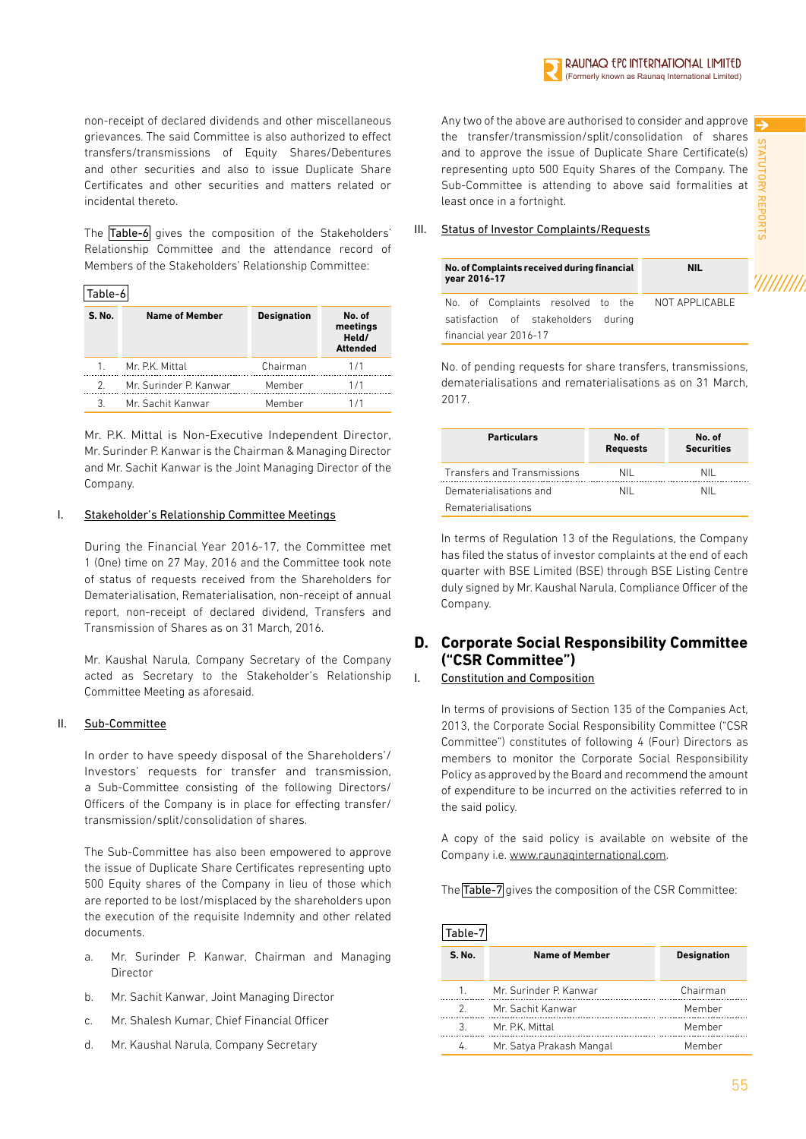RAUNAQ EPC INTERNATIONAL LIMITED (Formerly known as Raunaq International Limited)

non-receipt of declared dividends and other miscellaneous grievances. The said Committee is also authorized to effect transfers/transmissions of Equity Shares/Debentures and other securities and also to issue Duplicate Share Certificates and other securities and matters related or incidental thereto.

The Table-6 gives the composition of the Stakeholders' Relationship Committee and the attendance record of Members of the Stakeholders' Relationship Committee:

Table-6

| S. No. | <b>Name of Member</b>  | <b>Designation</b> | No. of<br>meetings<br>Held/<br><b>Attended</b> |
|--------|------------------------|--------------------|------------------------------------------------|
|        | Mr. P.K. Mittal        | Chairman           | 1/1                                            |
| 2      | Mr. Surinder P. Kanwar | Member             | 1/1                                            |
| 3      | Mr. Sachit Kanwar      | Member             | 1 / 1                                          |

Mr. P.K. Mittal is Non-Executive Independent Director, Mr. Surinder P. Kanwar is the Chairman & Managing Director and Mr. Sachit Kanwar is the Joint Managing Director of the Company.

# I. Stakeholder's Relationship Committee Meetings

During the Financial Year 2016-17, the Committee met 1 (One) time on 27 May, 2016 and the Committee took note of status of requests received from the Shareholders for Dematerialisation, Rematerialisation, non-receipt of annual report, non-receipt of declared dividend, Transfers and Transmission of Shares as on 31 March, 2016.

 Mr. Kaushal Narula, Company Secretary of the Company acted as Secretary to the Stakeholder's Relationship Committee Meeting as aforesaid.

# II. Sub-Committee

In order to have speedy disposal of the Shareholders'/ Investors' requests for transfer and transmission, a Sub-Committee consisting of the following Directors/ Officers of the Company is in place for effecting transfer/ transmission/split/consolidation of shares.

The Sub-Committee has also been empowered to approve the issue of Duplicate Share Certificates representing upto 500 Equity shares of the Company in lieu of those which are reported to be lost/misplaced by the shareholders upon the execution of the requisite Indemnity and other related documents.

- a. Mr. Surinder P. Kanwar, Chairman and Managing Director
- b. Mr. Sachit Kanwar, Joint Managing Director
- c. Mr. Shalesh Kumar, Chief Financial Officer
- d. Mr. Kaushal Narula, Company Secretary

Any two of the above are authorised to consider and approve the transfer/transmission/split/consolidation of shares and to approve the issue of Duplicate Share Certificate(s) representing upto 500 Equity Shares of the Company. The Sub-Committee is attending to above said formalities at least once in a fortnight.

# III. Status of Investor Complaints/Requests

| No. of Complaints received during financial<br>year 2016-17 | <b>NIL</b>     |  |  |  |
|-------------------------------------------------------------|----------------|--|--|--|
| No. of Complaints resolved to the                           | NOT APPLICABLE |  |  |  |
| satisfaction of stakeholders during                         |                |  |  |  |
| financial year 2016-17                                      |                |  |  |  |

No. of pending requests for share transfers, transmissions, dematerialisations and rematerialisations as on 31 March, 2017.

| <b>Particulars</b>          | No. of<br><b>Requests</b> | No. of<br><b>Securities</b> |
|-----------------------------|---------------------------|-----------------------------|
| Transfers and Transmissions | NIL                       | NII                         |
| Dematerialisations and      | NII                       | NII                         |
| Rematerialisations          |                           |                             |

In terms of Regulation 13 of the Regulations, the Company has filed the status of investor complaints at the end of each quarter with BSE Limited (BSE) through BSE Listing Centre duly signed by Mr. Kaushal Narula, Compliance Officer of the Company.

# **D. Corporate Social Responsibility Committee ("CSR Committee")**

# I. Constitution and Composition

Table-7

In terms of provisions of Section 135 of the Companies Act, 2013, the Corporate Social Responsibility Committee ("CSR Committee") constitutes of following 4 (Four) Directors as members to monitor the Corporate Social Responsibility Policy as approved by the Board and recommend the amount of expenditure to be incurred on the activities referred to in the said policy.

A copy of the said policy is available on website of the Company i.e. www.raunaqinternational.com.

The Table-7 gives the composition of the CSR Committee:

| able-71                         |                          |                    |
|---------------------------------|--------------------------|--------------------|
| S. No.<br><b>Name of Member</b> |                          | <b>Designation</b> |
| $1_{\cdot}$                     | Mr. Surinder P. Kanwar   | Chairman           |
| 2                               | Mr. Sachit Kanwar        | Member             |
| 3                               | Mr. P.K. Mittal          | Member             |
| 4.                              | Mr. Satya Prakash Mangal | Member             |
|                                 |                          |                    |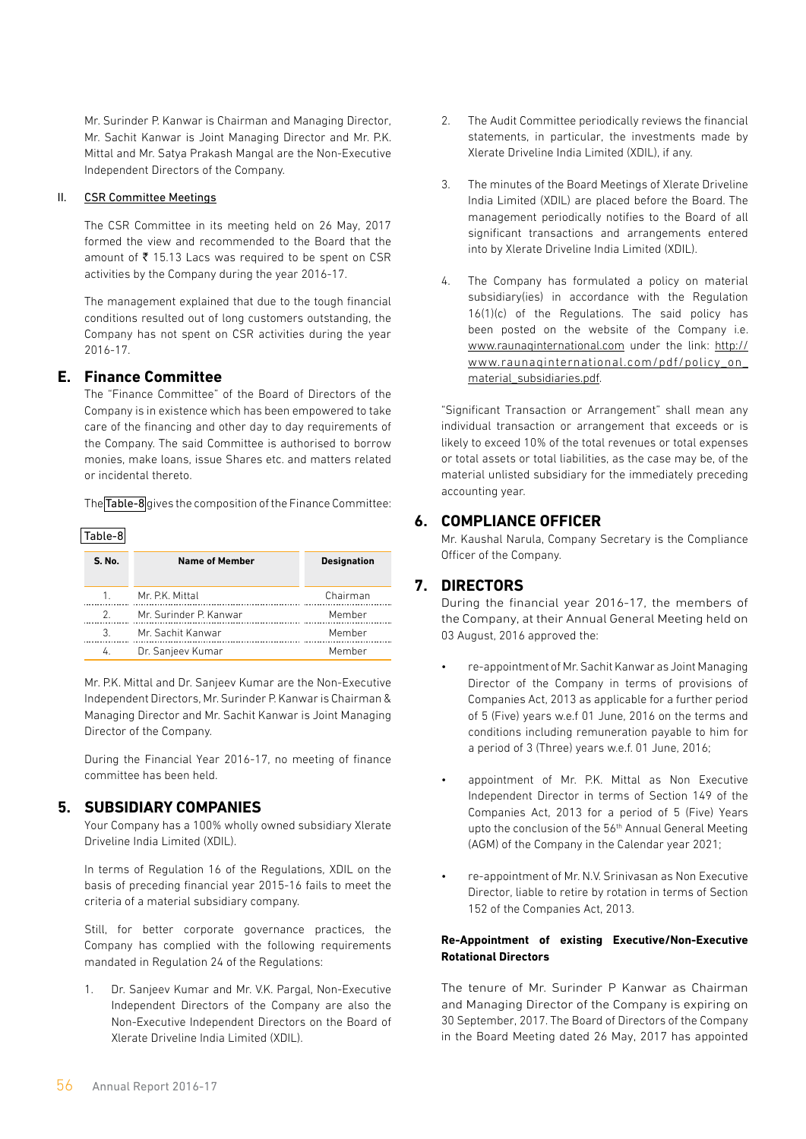Mr. Surinder P. Kanwar is Chairman and Managing Director, Mr. Sachit Kanwar is Joint Managing Director and Mr. P.K. Mittal and Mr. Satya Prakash Mangal are the Non-Executive Independent Directors of the Company.

# II. CSR Committee Meetings

The CSR Committee in its meeting held on 26 May, 2017 formed the view and recommended to the Board that the amount of  $\bar{\tau}$  15.13 Lacs was required to be spent on CSR activities by the Company during the year 2016-17.

The management explained that due to the tough financial conditions resulted out of long customers outstanding, the Company has not spent on CSR activities during the year 2016-17.

# **E. Finance Committee**

The "Finance Committee" of the Board of Directors of the Company is in existence which has been empowered to take care of the financing and other day to day requirements of the Company. The said Committee is authorised to borrow monies, make loans, issue Shares etc. and matters related or incidental thereto.

The Table-8 gives the composition of the Finance Committee:

| Table-8       |                        |                    |
|---------------|------------------------|--------------------|
| S. No.        | <b>Name of Member</b>  | <b>Designation</b> |
| $1_{-}$       | Mr. P.K. Mittal        | Chairman           |
| $\mathcal{P}$ | Mr. Surinder P. Kanwar | Member             |
| 3.            | Mr. Sachit Kanwar      | Member             |
| 4.            | Dr. Sanjeev Kumar      | Member             |
|               |                        |                    |

 Mr. P.K. Mittal and Dr. Sanjeev Kumar are the Non-Executive Independent Directors, Mr.Surinder P.Kanwaris Chairman & Managing Director and Mr. Sachit Kanwar is Joint Managing Director of the Company.

During the Financial Year 2016-17, no meeting of finance committee has been held.

# **5. SUBSIDIARY COMPANIES**

Your Company has a 100% wholly owned subsidiary Xlerate Driveline India Limited (XDIL).

In terms of Regulation 16 of the Regulations, XDIL on the basis of preceding financial year 2015-16 fails to meet the criteria of a material subsidiary company.

Still, for better corporate governance practices, the Company has complied with the following requirements mandated in Regulation 24 of the Regulations:

1. Dr. Sanjeev Kumar and Mr. V.K. Pargal, Non-Executive Independent Directors of the Company are also the Non-Executive Independent Directors on the Board of Xlerate Driveline India Limited (XDIL).

- 2. The Audit Committee periodically reviews the financial statements, in particular, the investments made by Xlerate Driveline India Limited (XDIL), if any.
- 3. The minutes of the Board Meetings of Xlerate Driveline India Limited (XDIL) are placed before the Board. The management periodically notifies to the Board of all significant transactions and arrangements entered into by Xlerate Driveline India Limited (XDIL).
- 4. The Company has formulated a policy on material subsidiary(ies) in accordance with the Regulation 16(1)(c) of the Regulations. The said policy has been posted on the website of the Company i.e. www.raunaqinternational.com under the link: http:// www.raunaqinternational.com/pdf/policy\_on\_ material\_subsidiaries.pdf.

"Significant Transaction or Arrangement" shall mean any individual transaction or arrangement that exceeds or is likely to exceed 10% of the total revenues or total expenses or total assets or total liabilities, as the case may be, of the material unlisted subsidiary for the immediately preceding accounting year.

# **6. COMPLIANCE OFFICER**

 Mr. Kaushal Narula, Company Secretary is the Compliance Officer of the Company.

# **7. DIRECTORS**

During the financial year 2016-17, the members of the Company, at their Annual General Meeting held on 03 August, 2016 approved the:

- re-appointment of Mr. Sachit Kanwar as Joint Managing Director of the Company in terms of provisions of Companies Act, 2013 as applicable for a further period of 5 (Five) years w.e.f 01 June, 2016 on the terms and conditions including remuneration payable to him for a period of 3 (Three) years w.e.f. 01 June, 2016;
- appointment of Mr. P.K. Mittal as Non Executive Independent Director in terms of Section 149 of the Companies Act, 2013 for a period of 5 (Five) Years upto the conclusion of the 56<sup>th</sup> Annual General Meeting (AGM) of the Company in the Calendar year 2021;
- re-appointment of Mr. N.V. Srinivasan as Non Executive Director, liable to retire by rotation in terms of Section 152 of the Companies Act, 2013.

# **Re-Appointment of existing Executive/Non-Executive Rotational Directors**

The tenure of Mr. Surinder P Kanwar as Chairman and Managing Director of the Company is expiring on 30 September, 2017. The Board of Directors of the Company in the Board Meeting dated 26 May, 2017 has appointed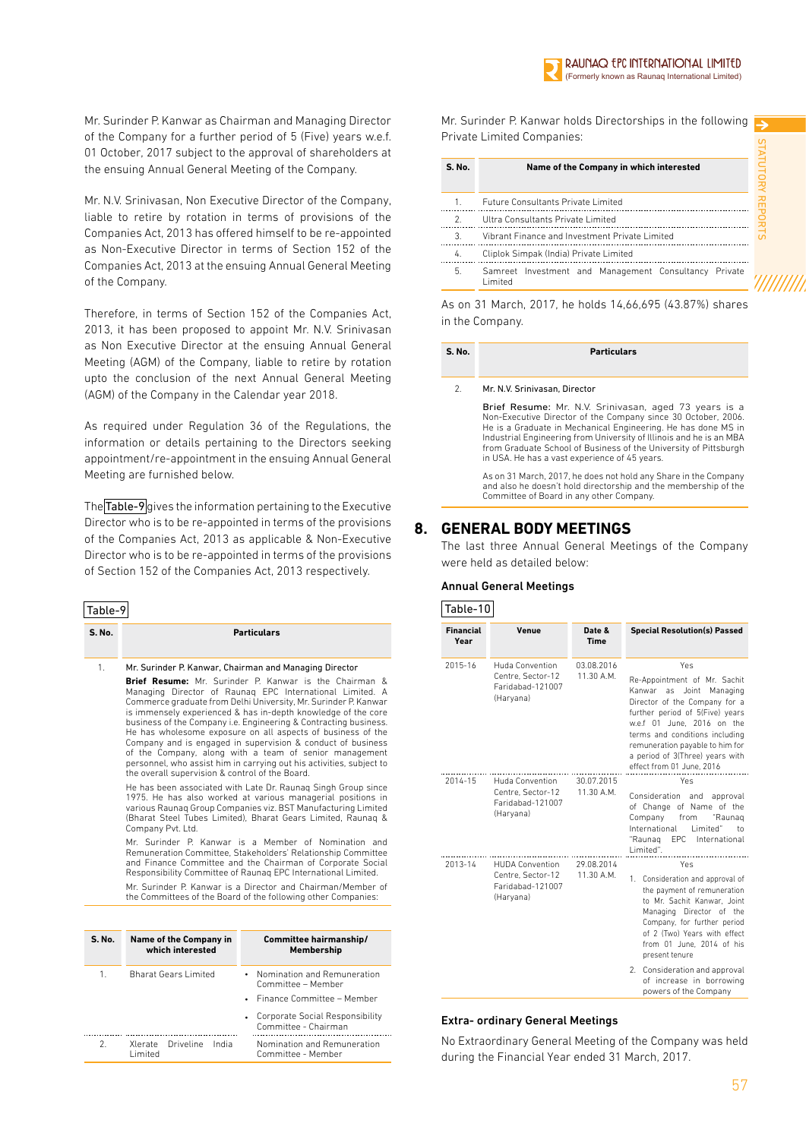

Mr. Surinder P. Kanwar as Chairman and Managing Director of the Company for a further period of 5 (Five) years w.e.f. 01 October, 2017 subject to the approval of shareholders at the ensuing Annual General Meeting of the Company.

 Mr. N.V. Srinivasan, Non Executive Director of the Company, liable to retire by rotation in terms of provisions of the Companies Act, 2013 has offered himself to be re-appointed as Non-Executive Director in terms of Section 152 of the Companies Act, 2013 at the ensuing Annual General Meeting of the Company.

Therefore, in terms of Section 152 of the Companies Act, 2013, it has been proposed to appoint Mr. N.V. Srinivasan as Non Executive Director at the ensuing Annual General Meeting (AGM) of the Company, liable to retire by rotation upto the conclusion of the next Annual General Meeting (AGM) of the Company in the Calendar year 2018.

As required under Regulation 36 of the Regulations, the information or details pertaining to the Directors seeking appointment/re-appointment in the ensuing Annual General Meeting are furnished below.

The Table-9 gives the information pertaining to the Executive Director who is to be re-appointed in terms of the provisions of the Companies Act, 2013 as applicable & Non-Executive Director who is to be re-appointed in terms of the provisions of Section 152 of the Companies Act, 2013 respectively.

#### Table-9

| <b>S. No.</b> | <b>Particulars</b>                                                                                                                                                                                                                                                                                                                                                                                                                                                                                                                                                                                                                                   |
|---------------|------------------------------------------------------------------------------------------------------------------------------------------------------------------------------------------------------------------------------------------------------------------------------------------------------------------------------------------------------------------------------------------------------------------------------------------------------------------------------------------------------------------------------------------------------------------------------------------------------------------------------------------------------|
| 1.            | Mr. Surinder P. Kanwar, Chairman and Managing Director                                                                                                                                                                                                                                                                                                                                                                                                                                                                                                                                                                                               |
|               | <b>Brief Resume:</b> Mr. Surinder P. Kanwar is the Chairman &<br>Managing Director of Raunag EPC International Limited. A<br>Commerce graduate from Delhi University, Mr. Surinder P. Kanwar<br>is immensely experienced & has in-depth knowledge of the core<br>business of the Company i.e. Engineering & Contracting business.<br>He has wholesome exposure on all aspects of business of the<br>Company and is engaged in supervision & conduct of business<br>of the Company, along with a team of senior management<br>personnel, who assist him in carrying out his activities, subject to<br>the overall supervision & control of the Board. |
|               | He has been associated with Late Dr. Raunag Singh Group since<br>1975. He has also worked at various managerial positions in<br>various Raunag Group Companies viz. BST Manufacturing Limited<br>(Bharat Steel Tubes Limited), Bharat Gears Limited, Raunag &<br>Company Pvt. Ltd.                                                                                                                                                                                                                                                                                                                                                                   |
|               | Mr. Surinder P. Kanwar is a Member of Nomination and<br>Remuneration Committee, Stakeholders' Relationship Committee<br>and Finance Committee and the Chairman of Corporate Social<br>Responsibility Committee of Raunag EPC International Limited.                                                                                                                                                                                                                                                                                                                                                                                                  |

Mr. Surinder P. Kanwar is a Director and Chairman/Member of the Committees of the Board of the following other Companies:

| <b>S. No.</b> | Name of the Company in<br>which interested | Committee hairmanship/<br>Membership                                                |
|---------------|--------------------------------------------|-------------------------------------------------------------------------------------|
| 1.            | <b>Bharat Gears Limited</b>                | • Nomination and Remuneration<br>Committee - Member<br>• Finance Committee - Member |
|               |                                            | • Corporate Social Responsibility<br>Committee - Chairman                           |
| 2.            | Xlerate Driveline<br>India<br>l imited     | Nomination and Remuneration<br>Committee - Member                                   |

 Mr. Surinder P. Kanwar holds Directorships in the following Private Limited Companies:

| S. No. | Name of the Company in which interested                          |  |  |  |  |
|--------|------------------------------------------------------------------|--|--|--|--|
| 1.     | <b>Future Consultants Private Limited</b>                        |  |  |  |  |
| 2.     | Ultra Consultants Private I imited                               |  |  |  |  |
| 3.     | Vibrant Finance and Investment Private Limited                   |  |  |  |  |
| 4.     | Cliplok Simpak (India) Private Limited                           |  |  |  |  |
| 5.     | Samreet Investment and Management Consultancy Private<br>Limited |  |  |  |  |

As on 31 March, 2017, he holds 14,66,695 (43.87%) shares in the Company.

# **S. No. Particulars** 2. Mr. N.V. Srinivasan, Director

Brief Resume: Mr. N.V. Srinivasan, aged 73 years is a Non-Executive Director of the Company since 30 October, 2006. He is a Graduate in Mechanical Engineering. He has done MS in Industrial Engineering from University of Illinois and he is an MBA from Graduate School of Business of the University of Pittsburgh in USA. He has a vast experience of 45 years.

As on 31 March, 2017, he does not hold any Share in the Company and also he doesn't hold directorship and the membership of the Committee of Board in any other Company.

# **8. GENERAL BODY MEETINGS**

The last three Annual General Meetings of the Company were held as detailed below:

# Annual General Meetings

# Table-10

| <b>Financial</b><br>Year | Venue                                                                        | Date &<br><b>Time</b>    | <b>Special Resolution(s) Passed</b>                                                                                                                                                                                                                                                                             |
|--------------------------|------------------------------------------------------------------------------|--------------------------|-----------------------------------------------------------------------------------------------------------------------------------------------------------------------------------------------------------------------------------------------------------------------------------------------------------------|
| 2015-16                  | Huda Convention<br>Centre, Sector-12<br>Faridabad-121007<br>(Haryana)        | 03.08.2016<br>11.30 A.M. | Yes<br>Re-Appointment of Mr. Sachit<br>Kanwar<br>Joint<br>Managing<br>as<br>Director of the Company for a<br>further period of 5(Five) years<br>w.e.f 01 June, 2016 on the<br>terms and conditions including<br>remuneration payable to him for<br>a period of 3(Three) years with<br>effect from 01 June, 2016 |
| 2014-15                  | Huda Convention<br>Centre. Sector-12<br>Faridabad-121007<br>(Haryana)        | 30.07.2015<br>11.30 A.M. | Yes<br>Consideration and approval<br>of Change of Name of the<br>Company from<br>"Raunag<br>International<br>Limited"<br>to<br>"Raunag EPC International<br>I imited".                                                                                                                                          |
| 2013-14                  | <b>HUDA Convention</b><br>Centre, Sector-12<br>Faridabad-121007<br>(Haryana) | 29.08.2014<br>11.30 A.M. | Yes<br>1. Consideration and approval of<br>the payment of remuneration<br>to Mr. Sachit Kanwar, Joint<br>Managing Director of the<br>Company, for further period<br>of 2 (Two) Years with effect<br>from 01 June, 2014 of his<br>present tenure                                                                 |
|                          |                                                                              |                          | 2. Consideration and approval<br>of increase in borrowing<br>powers of the Company                                                                                                                                                                                                                              |

#### Extra- ordinary General Meetings

No Extraordinary General Meeting of the Company was held during the Financial Year ended 31 March, 2017.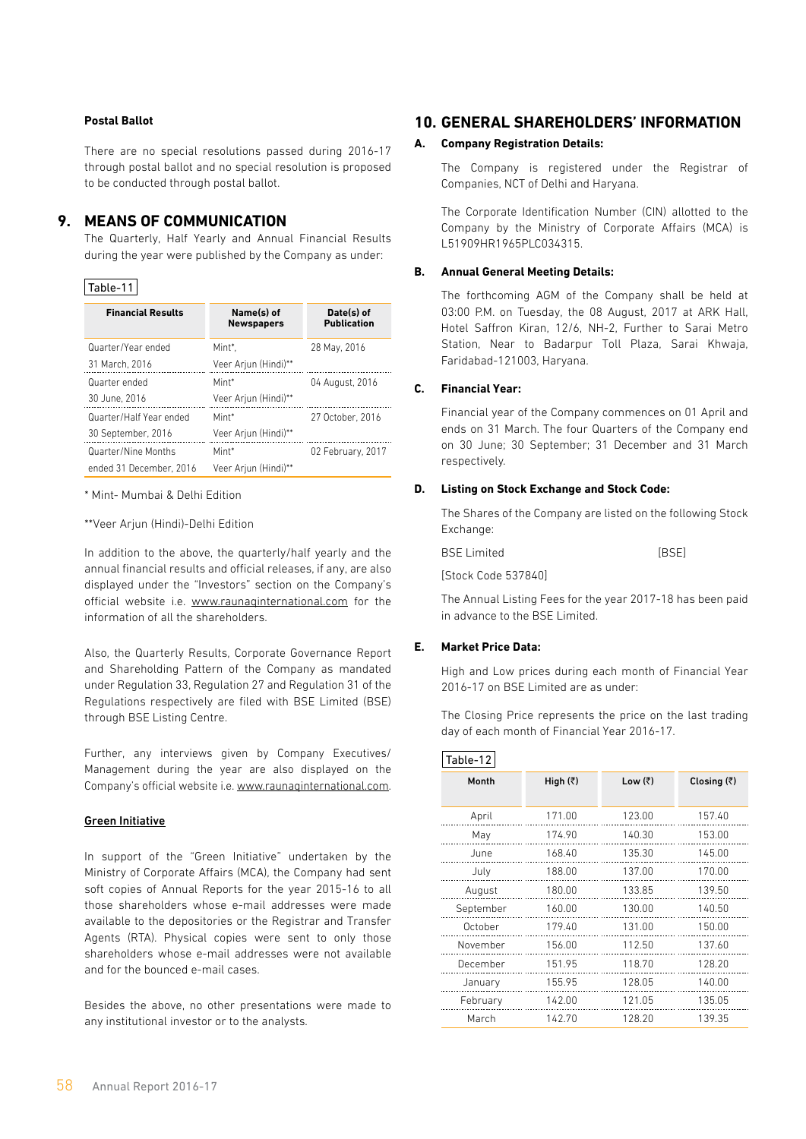#### **Postal Ballot**

There are no special resolutions passed during 2016-17 through postal ballot and no special resolution is proposed to be conducted through postal ballot.

# **9. Means of Communication**

The Quarterly, Half Yearly and Annual Financial Results during the year were published by the Company as under:

# Table-11

| <b>Financial Results</b> | Name(s) of<br><b>Newspapers</b> | Date(s) of<br><b>Publication</b> |
|--------------------------|---------------------------------|----------------------------------|
| Quarter/Year ended       | Mint*.                          | 28 May, 2016                     |
| 31 March, 2016           | Veer Arjun (Hindi)**            |                                  |
| Quarter ended            | Mint*                           | 04 August, 2016                  |
| 30 June, 2016            | Veer Arjun (Hindi)**            |                                  |
| Quarter/Half Year ended  | Mint*                           | 27 October, 2016                 |
| 30 September, 2016       | Veer Arjun (Hindi)**            |                                  |
| Quarter/Nine Months      | Mint*                           | 02 February, 2017                |
| ended 31 December, 2016  | Veer Arjun (Hindi)**            |                                  |

 \* Mint- Mumbai & Delhi Edition

#### \*\*Veer Arjun (Hindi)-Delhi Edition

In addition to the above, the quarterly/half yearly and the annual financial results and official releases, if any, are also displayed under the "Investors" section on the Company's official website i.e. www.raunaqinternational.com for the information of all the shareholders.

Also, the Quarterly Results, Corporate Governance Report and Shareholding Pattern of the Company as mandated under Regulation 33, Regulation 27 and Regulation 31 of the Regulations respectively are filed with BSE Limited (BSE) through BSE Listing Centre.

Further, any interviews given by Company Executives/ Management during the year are also displayed on the Company's official website i.e. www.raunaqinternational.com.

# Green Initiative

In support of the "Green Initiative" undertaken by the Ministry of Corporate Affairs (MCA), the Company had sent soft copies of Annual Reports for the year 2015-16 to all those shareholders whose e-mail addresses were made available to the depositories or the Registrar and Transfer Agents (RTA). Physical copies were sent to only those shareholders whose e-mail addresses were not available and for the bounced e-mail cases.

Besides the above, no other presentations were made to any institutional investor or to the analysts.

# **10. GENERAL SHAREHOLDERS' INFORMATION**

#### **A. Company Registration Details:**

The Company is registered under the Registrar of Companies, NCT of Delhi and Haryana.

The Corporate Identification Number (CIN) allotted to the Company by the Ministry of Corporate Affairs (MCA) is L51909HR1965PLC034315.

# **B. Annual General Meeting Details:**

The forthcoming AGM of the Company shall be held at 03:00 P.M. on Tuesday, the 08 August, 2017 at ARK Hall, Hotel Saffron Kiran, 12/6, NH-2, Further to Sarai Metro Station, Near to Badarpur Toll Plaza, Sarai Khwaja, Faridabad-121003, Haryana.

# **C. Financial Year:**

Financial year of the Company commences on 01 April and ends on 31 March. The four Quarters of the Company end on 30 June; 30 September; 31 December and 31 March respectively.

## **D. Listing on Stock Exchange and Stock Code:**

The Shares of the Company are listed on the following Stock Exchange:

| <b>BSE Limited</b> | [BSE] |
|--------------------|-------|
|                    |       |

[Stock Code 537840]

The Annual Listing Fees for the year 2017-18 has been paid in advance to the BSE Limited.

# **E. Market Price Data:**

High and Low prices during each month of Financial Year 2016-17 on BSE Limited are as under:

The Closing Price represents the price on the last trading day of each month of Financial Year 2016-17.

| Table-12  |                  |                          |                     |
|-----------|------------------|--------------------------|---------------------|
| Month     | High $(\bar{z})$ | Low $(\overline{\zeta})$ | Closing $(\bar{z})$ |
|           |                  |                          |                     |
| April     | 171.00           | 123.00                   | 157.40              |
| May       | 174.90           | 140.30                   | 153.00              |
| June      | 168.40           | 135.30                   | 145.00              |
| July      | 188.00           | 137.00                   | 170.00              |
| August    | 180.00           | 133.85                   | 139.50              |
| September | 160.00           | 130.00                   | 140.50              |
| October   | 179.40           | 131.00                   | 150.00              |
| November  | 156.00           | 112.50                   | 137.60              |
| December  | 151.95           | 118.70                   | 128.20              |
| January   | 155.95           | 128.05                   | 140.00              |
| February  | 142.00           | 121.05                   | 135.05              |
| March     | 142.70           | 128.20                   | 139.35              |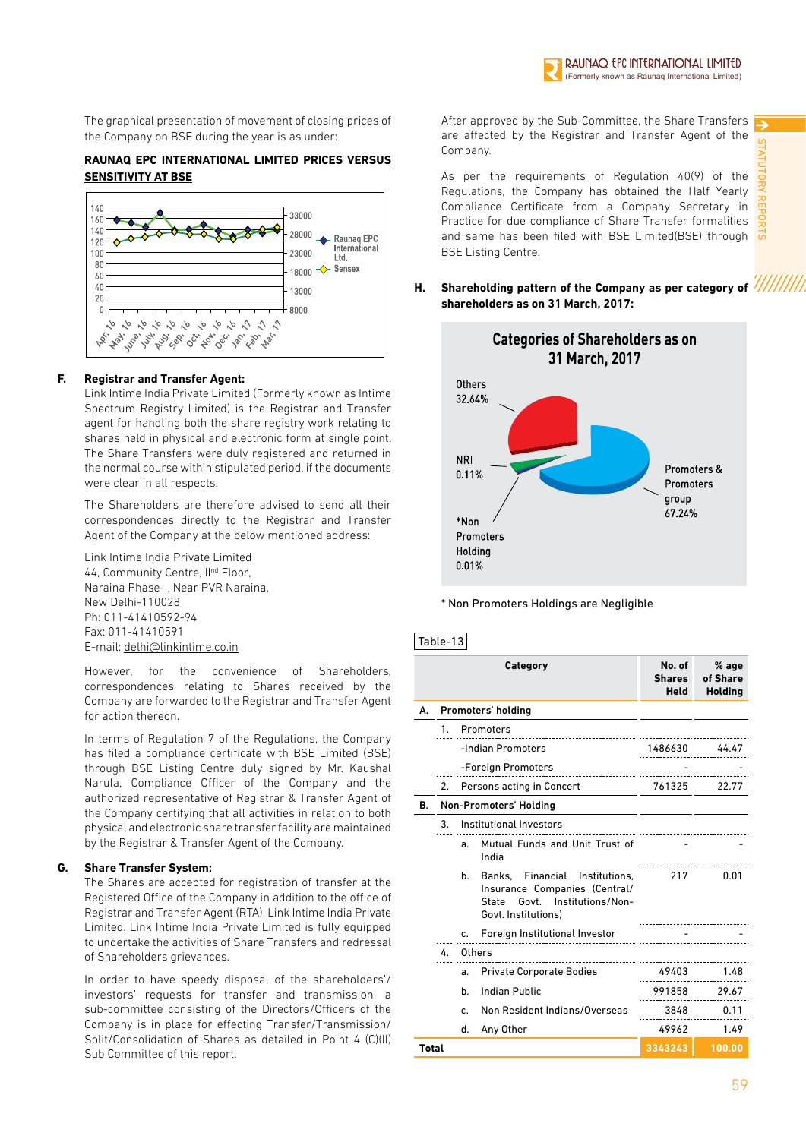The graphical presentation of movement of closing prices of the Company on BSE during the year is as under:

# **RAUNAQ EPC INTERNATIONAL LIMITED PRICES VERSUS SENSITIVITY AT BSE**



# **F. Registrar and Transfer Agent:**

Link Intime India Private Limited (Formerly known as Intime Spectrum Registry Limited) is the Registrar and Transfer agent for handling both the share registry work relating to shares held in physical and electronic form at single point. The Share Transfers were duly registered and returned in the normal course within stipulated period, if the documents were clear in all respects.

The Shareholders are therefore advised to send all their correspondences directly to the Registrar and Transfer Agent of the Company at the below mentioned address:

Link Intime India Private Limited 44, Community Centre, IInd Floor, Naraina Phase-I, Near PVR Naraina, New Delhi-110028 Ph: 011-41410592-94 Fax: 011-41410591 E-mail: delhi@linkintime.co.in

However, for the convenience of Shareholders, correspondences relating to Shares received by the Company are forwarded to the Registrar and Transfer Agent for action thereon.

In terms of Regulation 7 of the Regulations, the Company has filed a compliance certificate with BSE Limited (BSE) through BSE Listing Centre duly signed by Mr. Kaushal Narula, Compliance Officer of the Company and the authorized representative of Registrar & Transfer Agent of the Company certifying that all activities in relation to both physical and electronic share transfer facility are maintained by the Registrar & Transfer Agent of the Company.

# **G. Share Transfer System:**

The Shares are accepted for registration of transfer at the Registered Office of the Company in addition to the office of Registrar and Transfer Agent (RTA), Link Intime India Private Limited. Link Intime India Private Limited is fully equipped to undertake the activities of Share Transfers and redressal of Shareholders grievances.

In order to have speedy disposal of the shareholders'/ investors' requests for transfer and transmission, a sub-committee consisting of the Directors/Officers of the Company is in place for effecting Transfer/Transmission/ Split/Consolidation of Shares as detailed in Point 4 (C)(II) Sub Committee of this report.

After approved by the Sub-Committee, the Share Transfers are affected by the Registrar and Transfer Agent of the Company.

As per the requirements of Regulation 40(9) of the Regulations, the Company has obtained the Half Yearly Compliance Certificate from a Company Secretary in Practice for due compliance of Share Transfer formalities and same has been filed with BSE Limited(BSE) through BSE Listing Centre.

**H. Shareholding pattern of the Company as per category of shareholders as on 31 March, 2017:**



\* Non Promoters Holdings are Negligible

## Table-13

|       |                |           | Category                                                                                                                   | No. of<br><b>Shares</b><br>Held | % age<br>of Share<br><b>Holding</b> |
|-------|----------------|-----------|----------------------------------------------------------------------------------------------------------------------------|---------------------------------|-------------------------------------|
| А.    |                |           | Promoters' holding                                                                                                         |                                 |                                     |
|       |                |           | 1. Promoters                                                                                                               |                                 |                                     |
|       |                |           | -Indian Promoters                                                                                                          | 1486630                         | 44.47                               |
|       |                |           | -Foreign Promoters<br>.                                                                                                    |                                 |                                     |
|       | 2.             |           | Persons acting in Concert                                                                                                  | 761325                          | 22.77                               |
| В.    |                |           | Non-Promoters' Holding                                                                                                     |                                 |                                     |
|       | 3 <sub>1</sub> |           | Institutional Investors                                                                                                    | .                               |                                     |
|       |                | a.        | Mutual Funds and Unit Trust of<br>India                                                                                    |                                 |                                     |
|       |                | h.        | Banks. Financial Institutions.<br>Insurance Companies (Central/<br>Govt. Institutions/Non-<br>State<br>Govt. Institutions) | 217                             | 0.01                                |
|       |                | C.        | Foreign Institutional Investor                                                                                             |                                 |                                     |
|       |                | 4. Others | ----------------------------------                                                                                         |                                 |                                     |
|       |                | a.        | <b>Private Corporate Bodies</b>                                                                                            | 49403                           | 1.48                                |
|       |                | h.        | <b>Indian Public</b>                                                                                                       | 991858                          | 29.67                               |
|       |                | C.        | Non Resident Indians/Overseas                                                                                              | 3848                            | 0.11                                |
|       |                | d.        | Any Other                                                                                                                  | 49962                           | 1.49                                |
| Total |                |           |                                                                                                                            | 3343243                         | 100.00                              |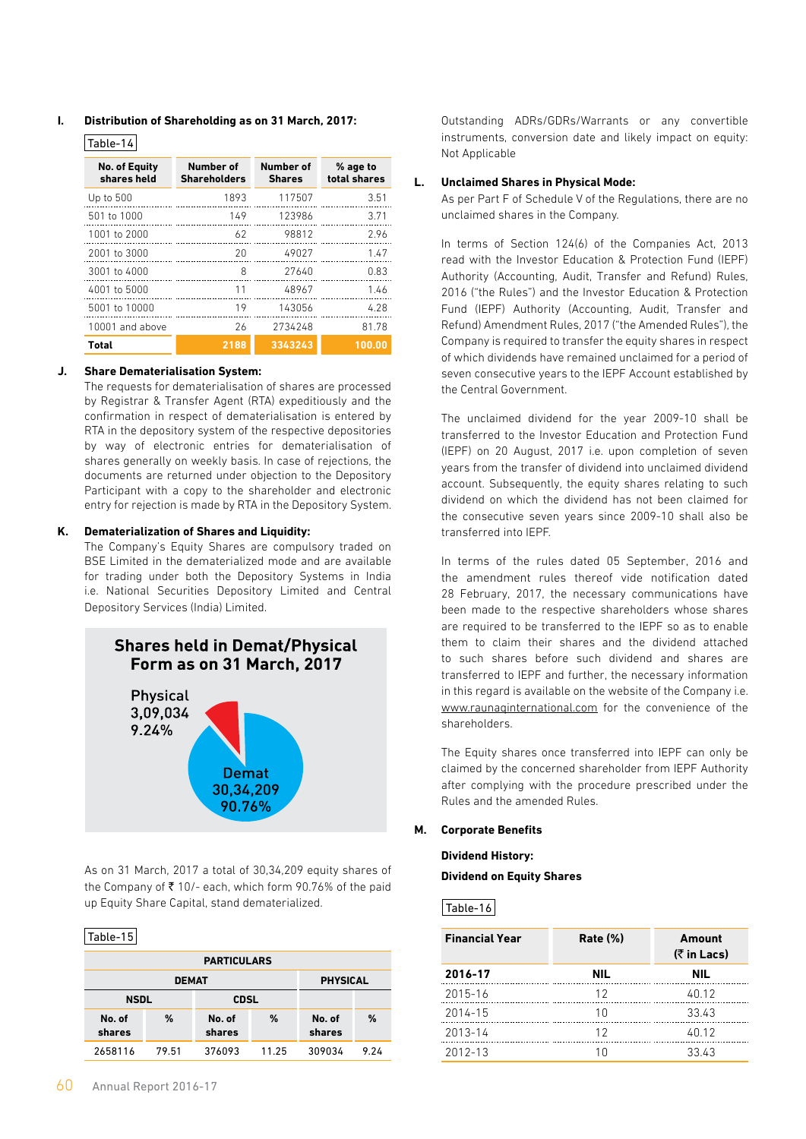#### **I. Distribution of Shareholding as on 31 March, 2017:**

| No. of Equity<br>shares held | <b>Number of</b><br><b>Shareholders</b> | <b>Number of</b><br><b>Shares</b> | % age to<br>total shares |
|------------------------------|-----------------------------------------|-----------------------------------|--------------------------|
| Up to 500                    | 1893                                    | 117507                            | 3.51                     |
| 501 to 1000                  | 149                                     | 123986                            | 3.71                     |
| 1001 to 2000                 | 62                                      | 98812                             | 2.96                     |
| 2001 to 3000                 | 20                                      | 49027                             | 1.47                     |
| 3001 to 4000                 | 8                                       | 27640                             | 0.83                     |
| 4001 to 5000                 | 11                                      | 48967                             | 1.46                     |
| 5001 to 10000                | 19                                      | 143056                            | 4.28                     |
| 10001 and above              | 26                                      | 2734248                           | 81.78                    |
| Total                        | 2188                                    | 3343243                           | 100.00                   |

# Table-14

#### **J. Share Dematerialisation System:**

The requests for dematerialisation of shares are processed by Registrar & Transfer Agent (RTA) expeditiously and the confirmation in respect of dematerialisation is entered by RTA in the depository system of the respective depositories by way of electronic entries for dematerialisation of shares generally on weekly basis. In case of rejections, the documents are returned under objection to the Depository Participant with a copy to the shareholder and electronic entry for rejection is made by RTA in the Depository System.

#### **K. Dematerialization of Shares and Liquidity:**

The Company's Equity Shares are compulsory traded on BSE Limited in the dematerialized mode and are available for trading under both the Depository Systems in India i.e. National Securities Depository Limited and Central Depository Services (India) Limited.



As on 31 March, 2017 a total of 30,34,209 equity shares of the Company of  $\bar{\tau}$  10/- each, which form 90.76% of the paid up Equity Share Capital, stand dematerialized.

## Table-15

| <b>PARTICULARS</b>         |       |                       |       |                  |      |  |  |
|----------------------------|-------|-----------------------|-------|------------------|------|--|--|
| <b>DEMAT</b>               |       |                       |       | <b>PHYSICAL</b>  |      |  |  |
| <b>NSDL</b><br><b>CDSL</b> |       |                       |       |                  |      |  |  |
| No. of<br>shares           | %     | No. of<br>%<br>shares |       | No. of<br>shares | %    |  |  |
| 2658116                    | 79.51 | 376093                | 11.25 | 309034           | 9.24 |  |  |
|                            |       |                       |       |                  |      |  |  |

Outstanding ADRs/GDRs/Warrants or any convertible instruments, conversion date and likely impact on equity: Not Applicable

#### **L. Unclaimed Shares in Physical Mode:**

 As per Part F of Schedule V of the Regulations, there are no unclaimed shares in the Company.

In terms of Section 124(6) of the Companies Act, 2013 read with the Investor Education & Protection Fund (IEPF) Authority (Accounting, Audit, Transfer and Refund) Rules, 2016 ("the Rules") and the Investor Education & Protection Fund (IEPF) Authority (Accounting, Audit, Transfer and Refund) Amendment Rules, 2017 ("the Amended Rules"), the Company is required to transfer the equity shares in respect of which dividends have remained unclaimed for a period of seven consecutive years to the IEPF Account established by the Central Government.

The unclaimed dividend for the year 2009-10 shall be transferred to the Investor Education and Protection Fund (IEPF) on 20 August, 2017 i.e. upon completion of seven years from the transfer of dividend into unclaimed dividend account. Subsequently, the equity shares relating to such dividend on which the dividend has not been claimed for the consecutive seven years since 2009-10 shall also be transferred into IEPF.

In terms of the rules dated 05 September, 2016 and the amendment rules thereof vide notification dated 28 February, 2017, the necessary communications have been made to the respective shareholders whose shares are required to be transferred to the IEPF so as to enable them to claim their shares and the dividend attached to such shares before such dividend and shares are transferred to IEPF and further, the necessary information in this regard is available on the website of the Company i.e. www.raunaqinternational.com for the convenience of the shareholders.

The Equity shares once transferred into IEPF can only be claimed by the concerned shareholder from IEPF Authority after complying with the procedure prescribed under the Rules and the amended Rules.

#### **M. Corporate Benefits**

**Dividend History: Dividend on Equity Shares**

Table-16

| <b>Financial Year</b> | Rate (%)   | Amount<br>$($ ₹ in Lacs) |
|-----------------------|------------|--------------------------|
| 2016-17               | <b>NIL</b> | <b>NIL</b>               |
| 2015-16               | 12         | 40.12                    |
| 2014-15               | 10         | 33.43                    |
| 2013-14               | 12         | 40.12                    |
| 2012-13               | 1 N        | 33.43                    |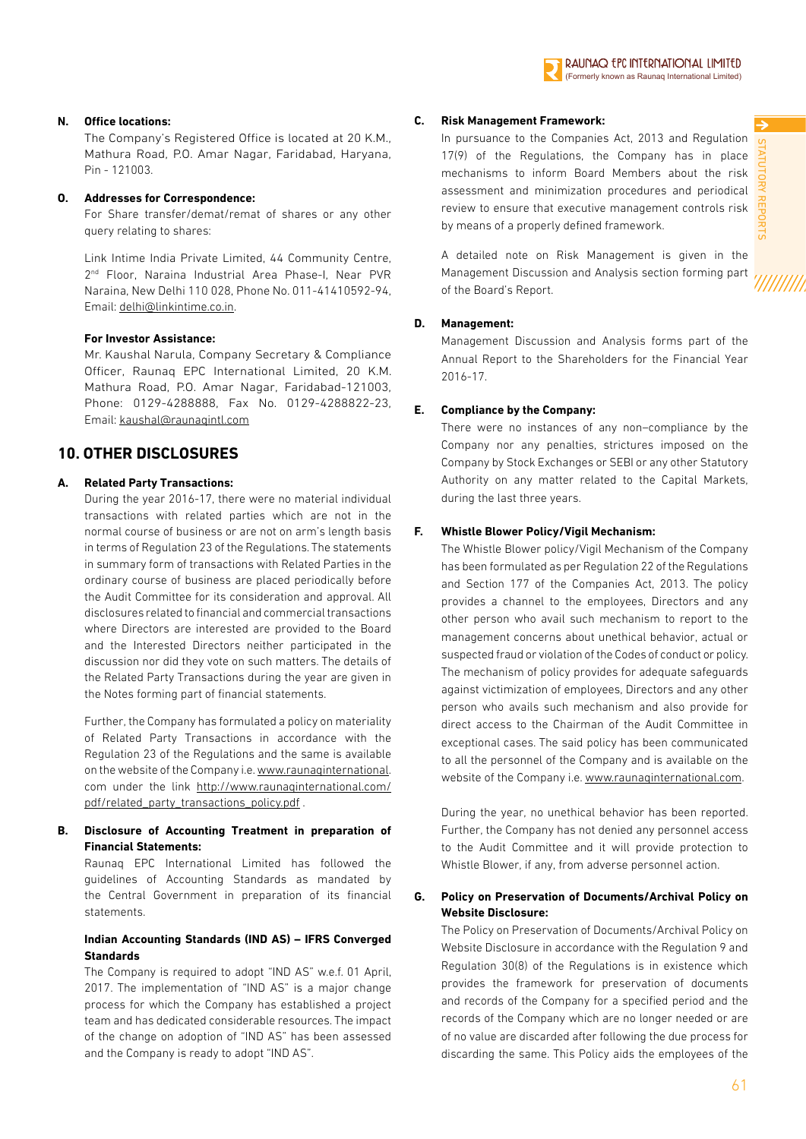# **N. Office locations:**

The Company's Registered Office is located at 20 K.M., Mathura Road, P.O. Amar Nagar, Faridabad, Haryana, Pin - 121003.

### **O. Addresses for Correspondence:**

For Share transfer/demat/remat of shares or any other query relating to shares:

Link Intime India Private Limited, 44 Community Centre, 2<sup>nd</sup> Floor, Naraina Industrial Area Phase-I, Near PVR Naraina, New Delhi 110 028, Phone No. 011-41410592-94, Email: delhi@linkintime.co.in.

#### **For Investor Assistance:**

Mr. Kaushal Narula, Company Secretary & Compliance Officer, Raunaq EPC International Limited, 20 K.M. Mathura Road, P.O. Amar Nagar, Faridabad-121003, Phone: 0129-4288888, Fax No. 0129-4288822-23, Email: kaushal@raunaqintl.com

# **10. OTHER DISCLOSURES**

# **A. Related Party Transactions:**

During the year 2016-17, there were no material individual transactions with related parties which are not in the normal course of business or are not on arm's length basis in terms of Regulation 23 of the Regulations. The statements in summary form of transactions with Related Parties in the ordinary course of business are placed periodically before the Audit Committee for its consideration and approval. All disclosures related to financial and commercial transactions where Directors are interested are provided to the Board and the Interested Directors neither participated in the discussion nor did they vote on such matters. The details of the Related Party Transactions during the year are given in the Notes forming part of financial statements.

Further, the Company has formulated a policy on materiality of Related Party Transactions in accordance with the Regulation 23 of the Regulations and the same is available on the website of the Company i.e. www.raunaqinternational. com under the link http://www.raunaqinternational.com/ pdf/related\_party\_transactions\_policy.pdf.

# **B. Disclosure of Accounting Treatment in preparation of Financial Statements:**

Raunaq EPC International Limited has followed the guidelines of Accounting Standards as mandated by the Central Government in preparation of its financial statements.

# **Indian Accounting Standards (IND AS) – IFRS Converged Standards**

The Company is required to adopt "IND AS" w.e.f. 01 April, 2017. The implementation of "IND AS" is a major change process for which the Company has established a project team and has dedicated considerable resources. The impact of the change on adoption of "IND AS" has been assessed and the Company is ready to adopt "IND AS".

#### **C. Risk Management Framework:**

In pursuance to the Companies Act, 2013 and Regulation 17(9) of the Regulations, the Company has in place mechanisms to inform Board Members about the risk assessment and minimization procedures and periodical review to ensure that executive management controls risk by means of a properly defined framework.

statutory reports

A detailed note on Risk Management is given in the Management Discussion and Analysis section forming part of the Board's Report.

# **D. Management:**

Management Discussion and Analysis forms part of the Annual Report to the Shareholders for the Financial Year 2016-17.

# **E. Compliance by the Company:**

There were no instances of any non–compliance by the Company nor any penalties, strictures imposed on the Company by Stock Exchanges or SEBI or any other Statutory Authority on any matter related to the Capital Markets, during the last three years.

# **F. Whistle Blower Policy/Vigil Mechanism:**

 The Whistle Blower policy/Vigil Mechanism of the Company has been formulated as per Regulation 22 of the Regulations and Section 177 of the Companies Act, 2013. The policy provides a channel to the employees, Directors and any other person who avail such mechanism to report to the management concerns about unethical behavior, actual or suspected fraud or violation of the Codes of conduct or policy. The mechanism of policy provides for adequate safeguards against victimization of employees, Directors and any other person who avails such mechanism and also provide for direct access to the Chairman of the Audit Committee in exceptional cases. The said policy has been communicated to all the personnel of the Company and is available on the website of the Company i.e. www.raunaqinternational.com.

During the year, no unethical behavior has been reported. Further, the Company has not denied any personnel access to the Audit Committee and it will provide protection to Whistle Blower, if any, from adverse personnel action.

# **G. Policy on Preservation of Documents/Archival Policy on Website Disclosure:**

The Policy on Preservation of Documents/Archival Policy on Website Disclosure in accordance with the Regulation 9 and Regulation 30(8) of the Regulations is in existence which provides the framework for preservation of documents and records of the Company for a specified period and the records of the Company which are no longer needed or are of no value are discarded after following the due process for discarding the same. This Policy aids the employees of the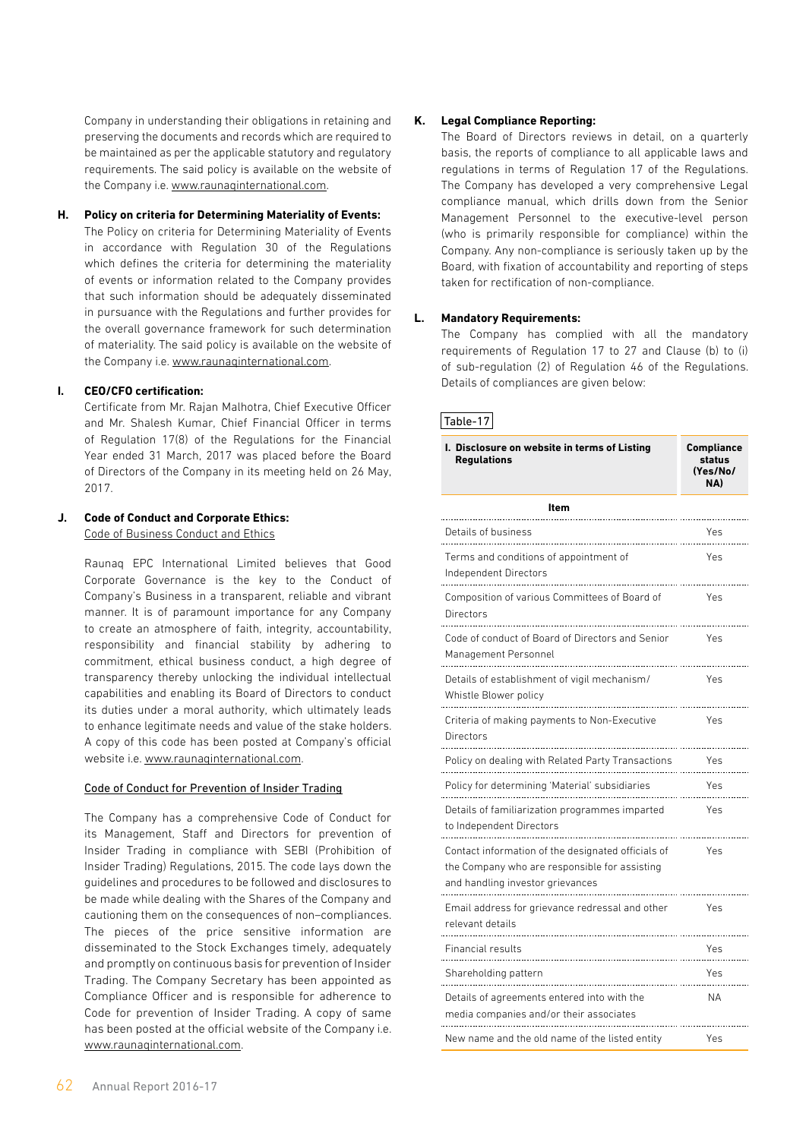Company in understanding their obligations in retaining and preserving the documents and records which are required to be maintained as per the applicable statutory and regulatory requirements. The said policy is available on the website of the Company i.e. www.raunaqinternational.com.

# **H. Policy on criteria for Determining Materiality of Events:**

The Policy on criteria for Determining Materiality of Events in accordance with Regulation 30 of the Regulations which defines the criteria for determining the materiality of events or information related to the Company provides that such information should be adequately disseminated in pursuance with the Regulations and further provides for the overall governance framework for such determination of materiality. The said policy is available on the website of the Company i.e. www.raunaqinternational.com.

# **I. CEO/CFO certification:**

Certificate from Mr. Rajan Malhotra, Chief Executive Officer and Mr. Shalesh Kumar, Chief Financial Officer in terms of Regulation 17(8) of the Regulations for the Financial Year ended 31 March, 2017 was placed before the Board of Directors of the Company in its meeting held on 26 May, 2017.

## **J. Code of Conduct and Corporate Ethics:**  Code of Business Conduct and Ethics

Raunaq EPC International Limited believes that Good Corporate Governance is the key to the Conduct of Company's Business in a transparent, reliable and vibrant manner. It is of paramount importance for any Company to create an atmosphere of faith, integrity, accountability, responsibility and financial stability by adhering to commitment, ethical business conduct, a high degree of transparency thereby unlocking the individual intellectual capabilities and enabling its Board of Directors to conduct its duties under a moral authority, which ultimately leads to enhance legitimate needs and value of the stake holders. A copy of this code has been posted at Company's official website i.e. www.raunaqinternational.com.

# Code of Conduct for Prevention of Insider Trading

The Company has a comprehensive Code of Conduct for its Management, Staff and Directors for prevention of Insider Trading in compliance with SEBI (Prohibition of Insider Trading) Regulations, 2015. The code lays down the guidelines and procedures to be followed and disclosures to be made while dealing with the Shares of the Company and cautioning them on the consequences of non–compliances. The pieces of the price sensitive information are disseminated to the Stock Exchanges timely, adequately and promptly on continuous basis for prevention of Insider Trading. The Company Secretary has been appointed as Compliance Officer and is responsible for adherence to Code for prevention of Insider Trading. A copy of same has been posted at the official website of the Company i.e. www.raunaqinternational.com.

# **K. Legal Compliance Reporting:**

The Board of Directors reviews in detail, on a quarterly basis, the reports of compliance to all applicable laws and regulations in terms of Regulation 17 of the Regulations. The Company has developed a very comprehensive Legal compliance manual, which drills down from the Senior Management Personnel to the executive-level person (who is primarily responsible for compliance) within the Company. Any non-compliance is seriously taken up by the Board, with fixation of accountability and reporting of steps taken for rectification of non-compliance.

# **L. Mandatory Requirements:**

The Company has complied with all the mandatory requirements of Regulation 17 to 27 and Clause (b) to (i) of sub-regulation (2) of Regulation 46 of the Regulations. Details of compliances are given below:

# Table-17

| I. Disclosure on website in terms of Listing<br><b>Regulations</b>                                                                      | Compliance<br>status<br>(Yes/No/<br>NA) |
|-----------------------------------------------------------------------------------------------------------------------------------------|-----------------------------------------|
| Item                                                                                                                                    |                                         |
| Details of business                                                                                                                     | Yes                                     |
| Terms and conditions of appointment of<br><b>Independent Directors</b>                                                                  | Yes                                     |
| Composition of various Committees of Board of<br>Directors                                                                              | Yes                                     |
| Code of conduct of Board of Directors and Senior<br>Management Personnel                                                                | Yes                                     |
| Details of establishment of vigil mechanism/<br>Whistle Blower policy                                                                   | Yes                                     |
| Criteria of making payments to Non-Executive<br>Directors                                                                               | Yes                                     |
| Policy on dealing with Related Party Transactions                                                                                       | Yes                                     |
| Policy for determining 'Material' subsidiaries                                                                                          | Yes                                     |
| Details of familiarization programmes imparted<br>to Independent Directors                                                              | Yes                                     |
| Contact information of the designated officials of<br>the Company who are responsible for assisting<br>and handling investor grievances | Yes                                     |
| Email address for grievance redressal and other<br>relevant details                                                                     | Yes                                     |
| Financial results                                                                                                                       | Yes                                     |
| Shareholding pattern                                                                                                                    | Yes                                     |
| Details of agreements entered into with the<br>media companies and/or their associates                                                  | <b>NA</b>                               |
| New name and the old name of the listed entity                                                                                          | Yes                                     |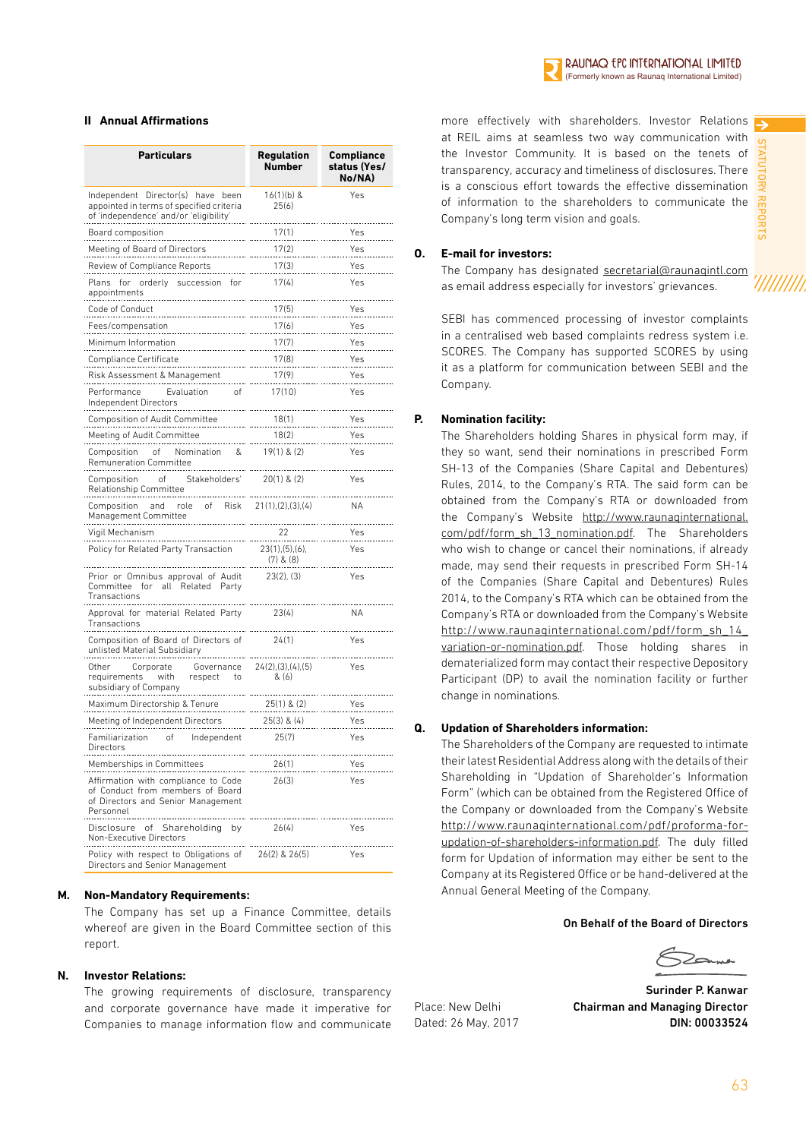statutory reports

**II Annual Affirmations**

| <b>Particulars</b>                                                                                                         | <b>Regulation</b><br>Number       | <b>Compliance</b><br>status (Yes/<br>No/NA) |
|----------------------------------------------------------------------------------------------------------------------------|-----------------------------------|---------------------------------------------|
| Independent Director(s) have<br>been<br>appointed in terms of specified criteria<br>of 'independence' and/or 'eligibility' | $16(1)(b)$ &<br>25(6)             | Yes                                         |
| Board composition                                                                                                          | 17(1)                             | Yes                                         |
| Meeting of Board of Directors                                                                                              | 17(2)                             | Yes                                         |
| Review of Compliance Reports                                                                                               | 17(3)                             | Yes                                         |
| Plans for orderly succession<br>for<br>appointments                                                                        | 17(4)                             | Yes<br>.                                    |
| Code of Conduct                                                                                                            | 17(5)                             | Yes                                         |
| Fees/compensation                                                                                                          | 17(6)                             | Yes                                         |
| Minimum Information                                                                                                        | 17(7)                             | Yes                                         |
| Compliance Certificate                                                                                                     | 17(8)                             | Yes                                         |
| Risk Assessment & Management                                                                                               | 17(9)                             | Yes                                         |
| Performance<br>Evaluation<br>οf<br>Independent Directors                                                                   | 17(10)                            | Yes                                         |
| Composition of Audit Committee                                                                                             | 18(1)                             | Yes                                         |
| Meeting of Audit Committee                                                                                                 | 18(2)                             | Yes                                         |
| &<br>Composition<br>of<br>Nomination<br><b>Remuneration Committee</b>                                                      | $19(1)$ & $(2)$                   | Yes                                         |
| Stakeholders'<br>Composition<br>οf<br>Relationship Committee                                                               | $20(1)$ & $(2)$                   | Yes                                         |
| Composition<br><b>Risk</b><br>and<br>role<br>of<br>Management Committee                                                    | 21(1),(2),(3),(4)                 | ΝA                                          |
| Vigil Mechanism                                                                                                            | 22                                | Yes                                         |
| Policy for Related Party Transaction                                                                                       | 23(1), (5), (6),<br>$(7)$ & $(8)$ | Yes                                         |
| Prior or Omnibus approval of Audit<br>Committee for all Related Party<br>Transactions                                      | $23(2)$ , $(3)$                   | Yes                                         |
| Approval for material Related Party<br>Transactions                                                                        | 23(4)                             | <b>NA</b>                                   |
| Composition of Board of Directors of<br>unlisted Material Subsidiary                                                       | 24(1)                             | Yes                                         |
| Other<br>Governance<br>Corporate<br>requirements<br>with<br>respect<br>to<br>subsidiary of Company                         | 24(2),(3),(4),(5)<br>& (6)        | Yes                                         |
| Maximum Directorship & Tenure                                                                                              | 25(1) & (2)                       | Yes                                         |
| Meeting of Independent Directors                                                                                           | 25(3) & (4)                       | Yes                                         |
| Familiarization<br>οf<br>Independent<br>Directors                                                                          | 25(7)                             | Yes                                         |
| Memberships in Committees                                                                                                  | 26(1)                             | Yes                                         |
| Affirmation with compliance to Code<br>of Conduct from members of Board<br>of Directors and Senior Management<br>Personnel | 26(3)                             | Yes                                         |
| Disclosure of Shareholding by<br>Non-Executive Directors                                                                   | 26(4)                             | Yes                                         |
| Policy with respect to Obligations of 26(2) & 26(5)<br>Directors and Senior Management                                     |                                   | Yes                                         |

# **M. Non-Mandatory Requirements:**

The Company has set up a Finance Committee, details whereof are given in the Board Committee section of this report.

# **N. Investor Relations:**

The growing requirements of disclosure, transparency and corporate governance have made it imperative for Companies to manage information flow and communicate

more effectively with shareholders. Investor Relations at REIL aims at seamless two way communication with the Investor Community. It is based on the tenets of transparency, accuracy and timeliness of disclosures. There is a conscious effort towards the effective dissemination of information to the shareholders to communicate the Company's long term vision and goals.

# **O. E-mail for investors:**

The Company has designated secretarial@raunaqintl.com as email address especially for investors' grievances.

SEBI has commenced processing of investor complaints in a centralised web based complaints redress system i.e. SCORES. The Company has supported SCORES by using it as a platform for communication between SEBI and the Company.

# **P. Nomination facility:**

The Shareholders holding Shares in physical form may, if they so want, send their nominations in prescribed Form SH-13 of the Companies (Share Capital and Debentures) Rules, 2014, to the Company's RTA. The said form can be obtained from the Company's RTA or downloaded from the Company's Website http://www.raunaqinternational. com/pdf/form\_sh\_13\_nomination.pdf. The Shareholders who wish to change or cancel their nominations, if already made, may send their requests in prescribed Form SH-14 of the Companies (Share Capital and Debentures) Rules 2014, to the Company's RTA which can be obtained from the Company's RTA or downloaded from the Company's Website http://www.raunaqinternational.com/pdf/form\_sh\_14\_ variation-or-nomination.pdf. Those holding shares in dematerialized form may contact their respective Depository Participant (DP) to avail the nomination facility or further change in nominations.

# **Q. Updation of Shareholders information:**

The Shareholders of the Company are requested to intimate their latest Residential Address along with the details of their Shareholding in "Updation of Shareholder's Information Form" (which can be obtained from the Registered Office of the Company or downloaded from the Company's Website http://www.raunaqinternational.com/pdf/proforma-forupdation-of-shareholders-information.pdf. The duly filled form for Updation of information may either be sent to the Company at its Registered Office or be hand-delivered at the Annual General Meeting of the Company.

# On Behalf of the Board of Directors

 $\sum$ Amer

Surinder P. Kanwar Place: New Delhi **Chairman and Managing Director** Dated: 26 May, 2017 **DIN: 00033524**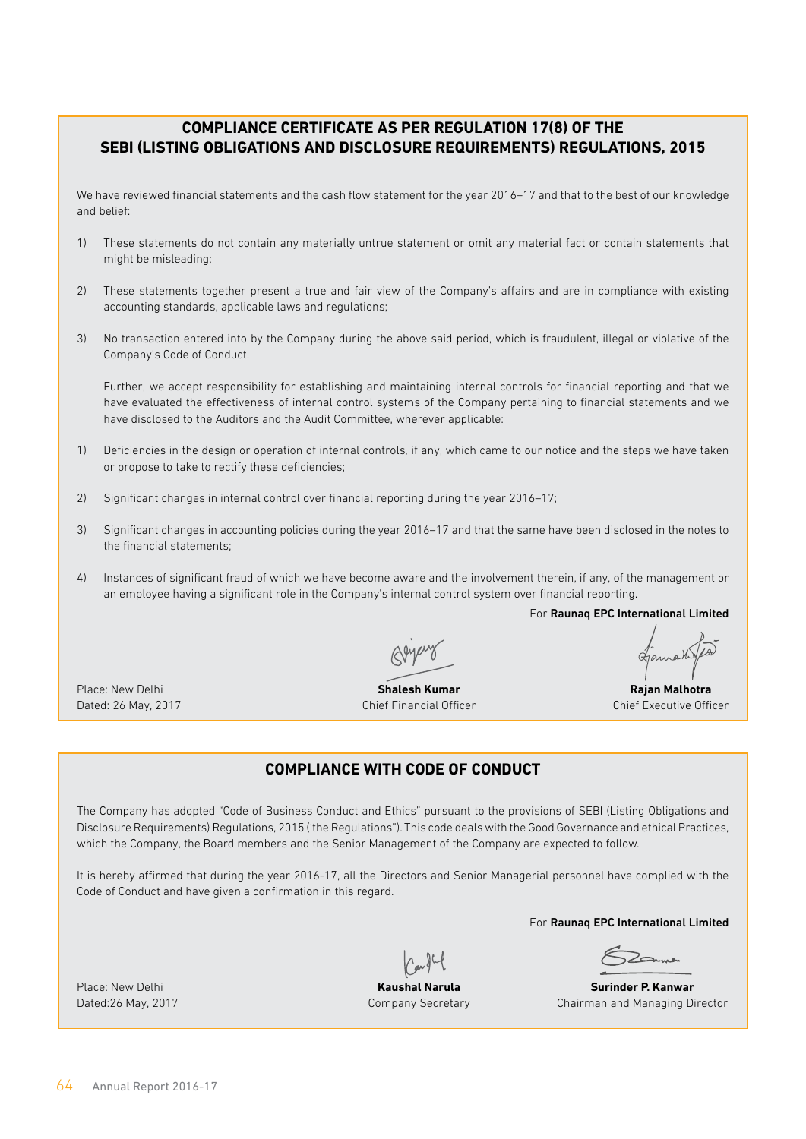# **COMPLIANCE CERTIFICATE AS PER REGULATION 17(8) OF THE SEBI (LISTING OBLIGATIONS AND DISCLOSURE REQUIREMENTS) REGULATIONS, 2015**

We have reviewed financial statements and the cash flow statement for the year 2016–17 and that to the best of our knowledge and belief:

- 1) These statements do not contain any materially untrue statement or omit any material fact or contain statements that might be misleading;
- 2) These statements together present a true and fair view of the Company's affairs and are in compliance with existing accounting standards, applicable laws and regulations;
- 3) No transaction entered into by the Company during the above said period, which is fraudulent, illegal or violative of the Company's Code of Conduct.

Further, we accept responsibility for establishing and maintaining internal controls for financial reporting and that we have evaluated the effectiveness of internal control systems of the Company pertaining to financial statements and we have disclosed to the Auditors and the Audit Committee, wherever applicable:

- 1) Deficiencies in the design or operation of internal controls, if any, which came to our notice and the steps we have taken or propose to take to rectify these deficiencies;
- 2) Significant changes in internal control over financial reporting during the year 2016–17;
- 3) Significant changes in accounting policies during the year 2016–17 and that the same have been disclosed in the notes to the financial statements;
- 4) Instances of significant fraud of which we have become aware and the involvement therein, if any, of the management or an employee having a significant role in the Company's internal control system over financial reporting.

For Raunaq EPC International Limited

Place: New Delhi **Shalesh Kumar Rajan Malhotra** 

Dated: 26 May, 2017 Chief Financial Officer Chief Executive Officer

# **COMPLIANCE WITH CODE OF CONDUCT**

The Company has adopted "Code of Business Conduct and Ethics" pursuant to the provisions of SEBI (Listing Obligations and Disclosure Requirements) Regulations, 2015 ('the Regulations"). This code deals with the Good Governance and ethical Practices, which the Company, the Board members and the Senior Management of the Company are expected to follow.

It is hereby affirmed that during the year 2016-17, all the Directors and Senior Managerial personnel have complied with the Code of Conduct and have given a confirmation in this regard.

For Raunaq EPC International Limited

 $\sum$ annan

Dated:26 May, 2017 Company Secretary Chairman and Managing Director

Place: New Delhi **Kaushal Narula Surinder P. Kanwar**